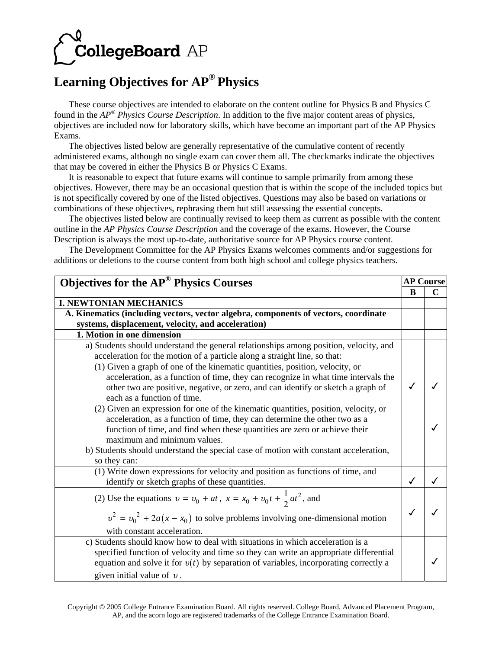

## **Learning Objectives for AP® Physics**

These course objectives are intended to elaborate on the content outline for Physics B and Physics C found in the *AP® Physics Course Description*. In addition to the five major content areas of physics, objectives are included now for laboratory skills, which have become an important part of the AP Physics Exams.

The objectives listed below are generally representative of the cumulative content of recently administered exams, although no single exam can cover them all. The checkmarks indicate the objectives that may be covered in either the Physics B or Physics C Exams.

It is reasonable to expect that future exams will continue to sample primarily from among these objectives. However, there may be an occasional question that is within the scope of the included topics but is not specifically covered by one of the listed objectives. Questions may also be based on variations or combinations of these objectives, rephrasing them but still assessing the essential concepts.

The objectives listed below are continually revised to keep them as current as possible with the content outline in the *AP Physics Course Description* and the coverage of the exams. However, the Course Description is always the most up-to-date, authoritative source for AP Physics course content.

The Development Committee for the AP Physics Exams welcomes comments and/or suggestions for additions or deletions to the course content from both high school and college physics teachers.

| <b>Objectives for the AP<sup>®</sup> Physics Courses</b>                               |              | <b>AP Course</b> |
|----------------------------------------------------------------------------------------|--------------|------------------|
|                                                                                        | B            | $\mathbf C$      |
| <b>I. NEWTONIAN MECHANICS</b>                                                          |              |                  |
| A. Kinematics (including vectors, vector algebra, components of vectors, coordinate    |              |                  |
| systems, displacement, velocity, and acceleration)                                     |              |                  |
| 1. Motion in one dimension                                                             |              |                  |
| a) Students should understand the general relationships among position, velocity, and  |              |                  |
| acceleration for the motion of a particle along a straight line, so that:              |              |                  |
| (1) Given a graph of one of the kinematic quantities, position, velocity, or           |              |                  |
| acceleration, as a function of time, they can recognize in what time intervals the     |              |                  |
| other two are positive, negative, or zero, and can identify or sketch a graph of       |              |                  |
| each as a function of time.                                                            |              |                  |
| (2) Given an expression for one of the kinematic quantities, position, velocity, or    |              |                  |
| acceleration, as a function of time, they can determine the other two as a             |              |                  |
| function of time, and find when these quantities are zero or achieve their             |              |                  |
| maximum and minimum values.                                                            |              |                  |
| b) Students should understand the special case of motion with constant acceleration,   |              |                  |
| so they can:                                                                           |              |                  |
| (1) Write down expressions for velocity and position as functions of time, and         |              |                  |
| identify or sketch graphs of these quantities.                                         | $\checkmark$ |                  |
| (2) Use the equations $v = v_0 + at$ , $x = x_0 + v_0 t + \frac{1}{2} a t^2$ , and     |              |                  |
| $v^2 = v_0^2 + 2a(x - x_0)$ to solve problems involving one-dimensional motion         |              |                  |
| with constant acceleration.                                                            |              |                  |
| c) Students should know how to deal with situations in which acceleration is a         |              |                  |
| specified function of velocity and time so they can write an appropriate differential  |              |                  |
| equation and solve it for $v(t)$ by separation of variables, incorporating correctly a |              |                  |
| given initial value of $\nu$ .                                                         |              |                  |

Copyright © 2005 College Entrance Examination Board. All rights reserved. College Board, Advanced Placement Program, AP, and the acorn logo are registered trademarks of the College Entrance Examination Board.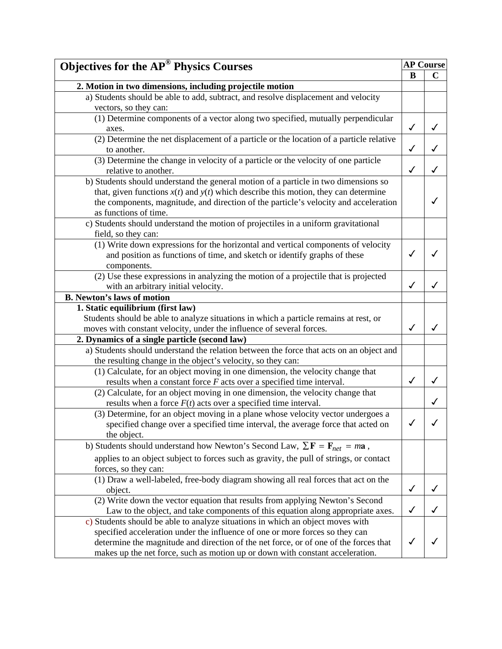| <b>Objectives for the AP<sup>®</sup> Physics Courses</b>                                                    |              | <b>AP Course</b> |  |
|-------------------------------------------------------------------------------------------------------------|--------------|------------------|--|
|                                                                                                             | B            | $\mathbf C$      |  |
| 2. Motion in two dimensions, including projectile motion                                                    |              |                  |  |
| a) Students should be able to add, subtract, and resolve displacement and velocity                          |              |                  |  |
| vectors, so they can:                                                                                       |              |                  |  |
| (1) Determine components of a vector along two specified, mutually perpendicular                            |              |                  |  |
| axes.                                                                                                       | $\checkmark$ | ✓                |  |
| (2) Determine the net displacement of a particle or the location of a particle relative                     |              |                  |  |
| to another.                                                                                                 | $\checkmark$ | ✓                |  |
| (3) Determine the change in velocity of a particle or the velocity of one particle                          |              |                  |  |
| relative to another.                                                                                        | ✓            | ✓                |  |
| b) Students should understand the general motion of a particle in two dimensions so                         |              |                  |  |
| that, given functions $x(t)$ and $y(t)$ which describe this motion, they can determine                      |              |                  |  |
| the components, magnitude, and direction of the particle's velocity and acceleration                        |              |                  |  |
| as functions of time.                                                                                       |              |                  |  |
| c) Students should understand the motion of projectiles in a uniform gravitational                          |              |                  |  |
| field, so they can:                                                                                         |              |                  |  |
| (1) Write down expressions for the horizontal and vertical components of velocity                           |              |                  |  |
| and position as functions of time, and sketch or identify graphs of these                                   | ✓            |                  |  |
| components.                                                                                                 |              |                  |  |
| (2) Use these expressions in analyzing the motion of a projectile that is projected                         |              |                  |  |
| with an arbitrary initial velocity.                                                                         | ✓            | ✓                |  |
| <b>B.</b> Newton's laws of motion                                                                           |              |                  |  |
| 1. Static equilibrium (first law)                                                                           |              |                  |  |
| Students should be able to analyze situations in which a particle remains at rest, or                       |              |                  |  |
| moves with constant velocity, under the influence of several forces.                                        | ✓            | ✓                |  |
| 2. Dynamics of a single particle (second law)                                                               |              |                  |  |
| a) Students should understand the relation between the force that acts on an object and                     |              |                  |  |
| the resulting change in the object's velocity, so they can:                                                 |              |                  |  |
| (1) Calculate, for an object moving in one dimension, the velocity change that                              |              |                  |  |
| results when a constant force $F$ acts over a specified time interval.                                      | ✓            | ✓                |  |
| (2) Calculate, for an object moving in one dimension, the velocity change that                              |              |                  |  |
| results when a force $F(t)$ acts over a specified time interval.                                            |              | ✓                |  |
| (3) Determine, for an object moving in a plane whose velocity vector undergoes a                            |              |                  |  |
| specified change over a specified time interval, the average force that acted on                            | $\checkmark$ |                  |  |
| the object.                                                                                                 |              |                  |  |
| b) Students should understand how Newton's Second Law, $\sum \mathbf{F} = \mathbf{F}_{net} = m\mathbf{a}$ , |              |                  |  |
| applies to an object subject to forces such as gravity, the pull of strings, or contact                     |              |                  |  |
| forces, so they can:                                                                                        |              |                  |  |
| (1) Draw a well-labeled, free-body diagram showing all real forces that act on the                          |              |                  |  |
| object.                                                                                                     | $\checkmark$ | J                |  |
| (2) Write down the vector equation that results from applying Newton's Second                               |              |                  |  |
| Law to the object, and take components of this equation along appropriate axes.                             | $\checkmark$ |                  |  |
| c) Students should be able to analyze situations in which an object moves with                              |              |                  |  |
| specified acceleration under the influence of one or more forces so they can                                |              |                  |  |
| determine the magnitude and direction of the net force, or of one of the forces that                        | √            |                  |  |
| makes up the net force, such as motion up or down with constant acceleration.                               |              |                  |  |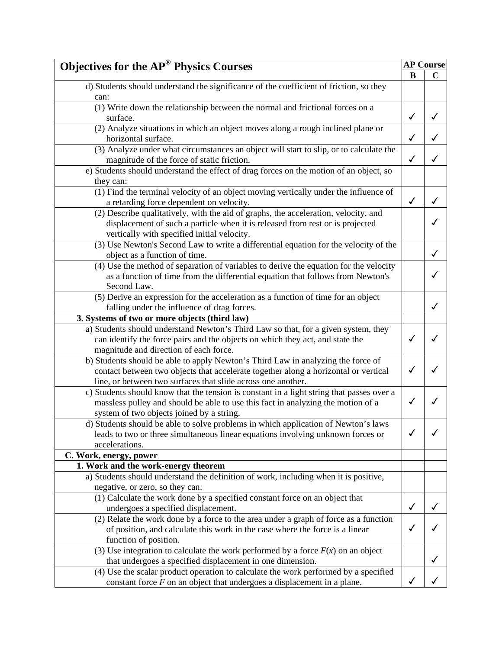| <b>Objectives for the AP<sup>®</sup> Physics Courses</b>                                  |              | <b>AP Course</b> |
|-------------------------------------------------------------------------------------------|--------------|------------------|
|                                                                                           | B            | $\mathbf C$      |
| d) Students should understand the significance of the coefficient of friction, so they    |              |                  |
| can:                                                                                      |              |                  |
| (1) Write down the relationship between the normal and frictional forces on a             |              |                  |
| surface.                                                                                  | ✓            | ✓                |
| (2) Analyze situations in which an object moves along a rough inclined plane or           |              |                  |
| horizontal surface.                                                                       | $\checkmark$ |                  |
| (3) Analyze under what circumstances an object will start to slip, or to calculate the    |              |                  |
| magnitude of the force of static friction.                                                | $\checkmark$ | ✓                |
| e) Students should understand the effect of drag forces on the motion of an object, so    |              |                  |
| they can:                                                                                 |              |                  |
| (1) Find the terminal velocity of an object moving vertically under the influence of      |              |                  |
| a retarding force dependent on velocity.                                                  | $\checkmark$ | ✓                |
| (2) Describe qualitatively, with the aid of graphs, the acceleration, velocity, and       |              |                  |
| displacement of such a particle when it is released from rest or is projected             |              |                  |
| vertically with specified initial velocity.                                               |              |                  |
| (3) Use Newton's Second Law to write a differential equation for the velocity of the      |              |                  |
| object as a function of time.                                                             |              | ✓                |
| (4) Use the method of separation of variables to derive the equation for the velocity     |              |                  |
| as a function of time from the differential equation that follows from Newton's           |              |                  |
| Second Law.                                                                               |              |                  |
| (5) Derive an expression for the acceleration as a function of time for an object         |              |                  |
| falling under the influence of drag forces.                                               |              | ✓                |
| 3. Systems of two or more objects (third law)                                             |              |                  |
| a) Students should understand Newton's Third Law so that, for a given system, they        |              |                  |
| can identify the force pairs and the objects on which they act, and state the             | ✓            | J                |
| magnitude and direction of each force.                                                    |              |                  |
| b) Students should be able to apply Newton's Third Law in analyzing the force of          |              |                  |
| contact between two objects that accelerate together along a horizontal or vertical       | ✓            | ✓                |
| line, or between two surfaces that slide across one another.                              |              |                  |
| c) Students should know that the tension is constant in a light string that passes over a |              |                  |
| massless pulley and should be able to use this fact in analyzing the motion of a          | √            |                  |
| system of two objects joined by a string.                                                 |              |                  |
| d) Students should be able to solve problems in which application of Newton's laws        |              |                  |
| leads to two or three simultaneous linear equations involving unknown forces or           | √            |                  |
| accelerations.                                                                            |              |                  |
| C. Work, energy, power                                                                    |              |                  |
| 1. Work and the work-energy theorem                                                       |              |                  |
| a) Students should understand the definition of work, including when it is positive,      |              |                  |
| negative, or zero, so they can:                                                           |              |                  |
| (1) Calculate the work done by a specified constant force on an object that               |              |                  |
| undergoes a specified displacement.                                                       | ✓            |                  |
| (2) Relate the work done by a force to the area under a graph of force as a function      |              |                  |
| of position, and calculate this work in the case where the force is a linear              | ✓            |                  |
| function of position.                                                                     |              |                  |
| (3) Use integration to calculate the work performed by a force $F(x)$ on an object        |              |                  |
| that undergoes a specified displacement in one dimension.                                 |              | ✓                |
| (4) Use the scalar product operation to calculate the work performed by a specified       |              |                  |
| constant force $F$ on an object that undergoes a displacement in a plane.                 | ✓            |                  |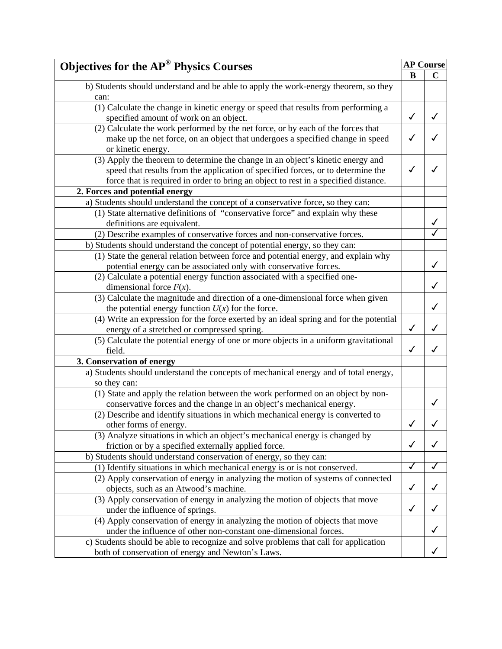| <b>Objectives for the AP® Physics Courses</b>                                          |              | <b>AP Course</b> |
|----------------------------------------------------------------------------------------|--------------|------------------|
|                                                                                        | B            | $\mathbf C$      |
| b) Students should understand and be able to apply the work-energy theorem, so they    |              |                  |
| can:                                                                                   |              |                  |
| (1) Calculate the change in kinetic energy or speed that results from performing a     |              |                  |
| specified amount of work on an object.                                                 | $\checkmark$ |                  |
| (2) Calculate the work performed by the net force, or by each of the forces that       |              |                  |
| make up the net force, on an object that undergoes a specified change in speed         | J            |                  |
| or kinetic energy.                                                                     |              |                  |
| (3) Apply the theorem to determine the change in an object's kinetic energy and        |              |                  |
| speed that results from the application of specified forces, or to determine the       | ✓            |                  |
| force that is required in order to bring an object to rest in a specified distance.    |              |                  |
| 2. Forces and potential energy                                                         |              |                  |
| a) Students should understand the concept of a conservative force, so they can:        |              |                  |
| (1) State alternative definitions of "conservative force" and explain why these        |              |                  |
| definitions are equivalent.                                                            |              |                  |
| (2) Describe examples of conservative forces and non-conservative forces.              |              |                  |
| b) Students should understand the concept of potential energy, so they can:            |              |                  |
| (1) State the general relation between force and potential energy, and explain why     |              |                  |
| potential energy can be associated only with conservative forces.                      |              | ✓                |
| (2) Calculate a potential energy function associated with a specified one-             |              |                  |
| dimensional force $F(x)$ .                                                             |              | ✓                |
| (3) Calculate the magnitude and direction of a one-dimensional force when given        |              |                  |
| the potential energy function $U(x)$ for the force.                                    |              | ✓                |
| (4) Write an expression for the force exerted by an ideal spring and for the potential |              |                  |
| energy of a stretched or compressed spring.                                            | $\checkmark$ | ✓                |
| (5) Calculate the potential energy of one or more objects in a uniform gravitational   |              |                  |
| field.                                                                                 | $\checkmark$ | ✓                |
| 3. Conservation of energy                                                              |              |                  |
| a) Students should understand the concepts of mechanical energy and of total energy,   |              |                  |
| so they can:                                                                           |              |                  |
| (1) State and apply the relation between the work performed on an object by non-       |              |                  |
| conservative forces and the change in an object's mechanical energy.                   |              |                  |
| (2) Describe and identify situations in which mechanical energy is converted to        |              |                  |
| other forms of energy.                                                                 |              |                  |
| (3) Analyze situations in which an object's mechanical energy is changed by            |              |                  |
| friction or by a specified externally applied force.                                   | $\checkmark$ | ✓                |
| b) Students should understand conservation of energy, so they can:                     |              |                  |
| (1) Identify situations in which mechanical energy is or is not conserved.             | ✓            |                  |
| (2) Apply conservation of energy in analyzing the motion of systems of connected       |              |                  |
| objects, such as an Atwood's machine.                                                  | $\checkmark$ |                  |
| (3) Apply conservation of energy in analyzing the motion of objects that move          |              |                  |
| under the influence of springs.                                                        | $\checkmark$ |                  |
| (4) Apply conservation of energy in analyzing the motion of objects that move          |              |                  |
| under the influence of other non-constant one-dimensional forces.                      |              |                  |
| c) Students should be able to recognize and solve problems that call for application   |              |                  |
| both of conservation of energy and Newton's Laws.                                      |              |                  |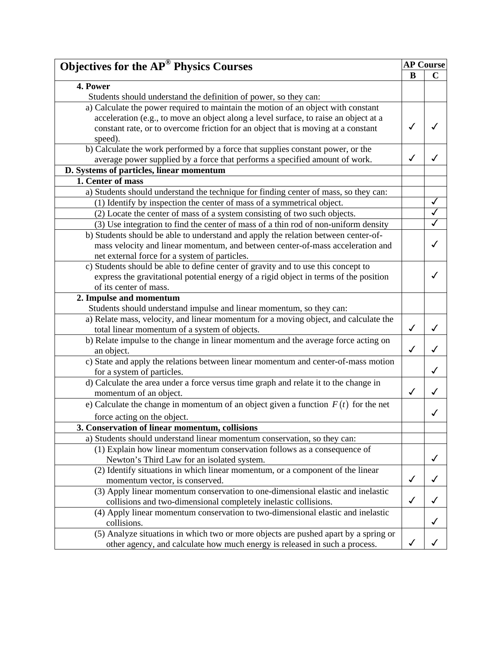| <b>Objectives for the AP<sup>®</sup> Physics Courses</b>                              |              | <b>AP Course</b> |
|---------------------------------------------------------------------------------------|--------------|------------------|
|                                                                                       | B            | $\mathbf C$      |
| 4. Power                                                                              |              |                  |
| Students should understand the definition of power, so they can:                      |              |                  |
| a) Calculate the power required to maintain the motion of an object with constant     |              |                  |
| acceleration (e.g., to move an object along a level surface, to raise an object at a  |              |                  |
| constant rate, or to overcome friction for an object that is moving at a constant     |              |                  |
| speed).                                                                               |              |                  |
| b) Calculate the work performed by a force that supplies constant power, or the       |              |                  |
| average power supplied by a force that performs a specified amount of work.           | $\checkmark$ |                  |
| D. Systems of particles, linear momentum                                              |              |                  |
| 1. Center of mass                                                                     |              |                  |
| a) Students should understand the technique for finding center of mass, so they can:  |              |                  |
| (1) Identify by inspection the center of mass of a symmetrical object.                |              |                  |
| (2) Locate the center of mass of a system consisting of two such objects.             |              |                  |
| (3) Use integration to find the center of mass of a thin rod of non-uniform density   |              |                  |
| b) Students should be able to understand and apply the relation between center-of-    |              |                  |
| mass velocity and linear momentum, and between center-of-mass acceleration and        |              |                  |
| net external force for a system of particles.                                         |              |                  |
| c) Students should be able to define center of gravity and to use this concept to     |              |                  |
| express the gravitational potential energy of a rigid object in terms of the position |              |                  |
| of its center of mass.                                                                |              |                  |
| 2. Impulse and momentum                                                               |              |                  |
| Students should understand impulse and linear momentum, so they can:                  |              |                  |
| a) Relate mass, velocity, and linear momentum for a moving object, and calculate the  |              |                  |
| total linear momentum of a system of objects.                                         | $\checkmark$ | ✓                |
| b) Relate impulse to the change in linear momentum and the average force acting on    |              |                  |
| an object.                                                                            | $\checkmark$ |                  |
| c) State and apply the relations between linear momentum and center-of-mass motion    |              |                  |
| for a system of particles.                                                            |              | ✓                |
| d) Calculate the area under a force versus time graph and relate it to the change in  |              |                  |
| momentum of an object.                                                                | $\checkmark$ | J                |
| e) Calculate the change in momentum of an object given a function $F(t)$ for the net  |              |                  |
| force acting on the object.                                                           |              | ✓                |
| 3. Conservation of linear momentum, collisions                                        |              |                  |
| a) Students should understand linear momentum conservation, so they can:              |              |                  |
| (1) Explain how linear momentum conservation follows as a consequence of              |              |                  |
| Newton's Third Law for an isolated system.                                            |              |                  |
| (2) Identify situations in which linear momentum, or a component of the linear        |              |                  |
| momentum vector, is conserved.                                                        | $\checkmark$ |                  |
| (3) Apply linear momentum conservation to one-dimensional elastic and inelastic       |              |                  |
| collisions and two-dimensional completely inelastic collisions.                       | $\checkmark$ | ✓                |
| (4) Apply linear momentum conservation to two-dimensional elastic and inelastic       |              |                  |
| collisions.                                                                           |              |                  |
| (5) Analyze situations in which two or more objects are pushed apart by a spring or   |              |                  |
| other agency, and calculate how much energy is released in such a process.            | ✓            |                  |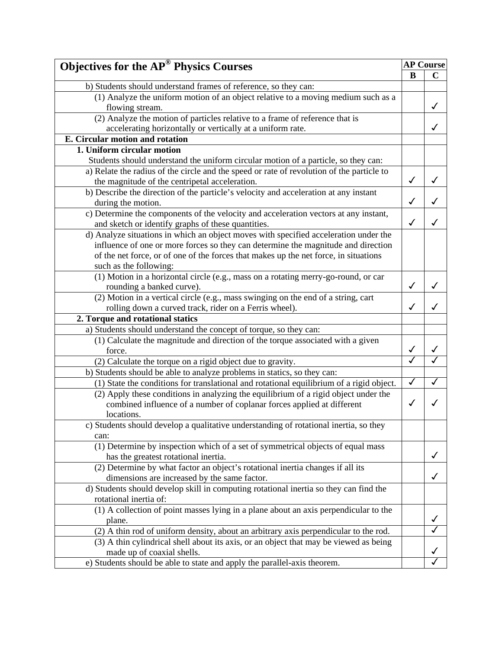| <b>Objectives for the AP® Physics Courses</b>                                             |              | <b>AP Course</b> |
|-------------------------------------------------------------------------------------------|--------------|------------------|
|                                                                                           | B            | $\mathbf C$      |
| b) Students should understand frames of reference, so they can:                           |              |                  |
| (1) Analyze the uniform motion of an object relative to a moving medium such as a         |              |                  |
| flowing stream.                                                                           |              | ✓                |
| (2) Analyze the motion of particles relative to a frame of reference that is              |              |                  |
| accelerating horizontally or vertically at a uniform rate.                                |              | ✓                |
| E. Circular motion and rotation                                                           |              |                  |
| 1. Uniform circular motion                                                                |              |                  |
| Students should understand the uniform circular motion of a particle, so they can:        |              |                  |
| a) Relate the radius of the circle and the speed or rate of revolution of the particle to |              |                  |
| the magnitude of the centripetal acceleration.                                            | $\checkmark$ | ✓                |
| b) Describe the direction of the particle's velocity and acceleration at any instant      |              |                  |
| during the motion.                                                                        | ✓            |                  |
| c) Determine the components of the velocity and acceleration vectors at any instant,      |              |                  |
| and sketch or identify graphs of these quantities.                                        | ✓            | ✓                |
| d) Analyze situations in which an object moves with specified acceleration under the      |              |                  |
| influence of one or more forces so they can determine the magnitude and direction         |              |                  |
| of the net force, or of one of the forces that makes up the net force, in situations      |              |                  |
| such as the following:                                                                    |              |                  |
| (1) Motion in a horizontal circle (e.g., mass on a rotating merry-go-round, or car        |              |                  |
| rounding a banked curve).                                                                 | $\checkmark$ | ✓                |
| (2) Motion in a vertical circle (e.g., mass swinging on the end of a string, cart         |              |                  |
| rolling down a curved track, rider on a Ferris wheel).                                    | ✓            | ✓                |
| 2. Torque and rotational statics                                                          |              |                  |
| a) Students should understand the concept of torque, so they can:                         |              |                  |
| (1) Calculate the magnitude and direction of the torque associated with a given           |              |                  |
| force.                                                                                    | ✓            |                  |
| (2) Calculate the torque on a rigid object due to gravity.                                |              |                  |
| b) Students should be able to analyze problems in statics, so they can:                   |              |                  |
| (1) State the conditions for translational and rotational equilibrium of a rigid object.  | $\checkmark$ | ✓                |
| (2) Apply these conditions in analyzing the equilibrium of a rigid object under the       |              |                  |
| combined influence of a number of coplanar forces applied at different                    | $\checkmark$ |                  |
| locations.                                                                                |              |                  |
| c) Students should develop a qualitative understanding of rotational inertia, so they     |              |                  |
| can:                                                                                      |              |                  |
| (1) Determine by inspection which of a set of symmetrical objects of equal mass           |              |                  |
| has the greatest rotational inertia.                                                      |              | ✓                |
| (2) Determine by what factor an object's rotational inertia changes if all its            |              |                  |
| dimensions are increased by the same factor.                                              |              | ✓                |
| d) Students should develop skill in computing rotational inertia so they can find the     |              |                  |
| rotational inertia of:                                                                    |              |                  |
| (1) A collection of point masses lying in a plane about an axis perpendicular to the      |              |                  |
| plane.                                                                                    |              | ✓                |
| (2) A thin rod of uniform density, about an arbitrary axis perpendicular to the rod.      |              |                  |
| (3) A thin cylindrical shell about its axis, or an object that may be viewed as being     |              |                  |
| made up of coaxial shells.                                                                |              |                  |
| e) Students should be able to state and apply the parallel-axis theorem.                  |              |                  |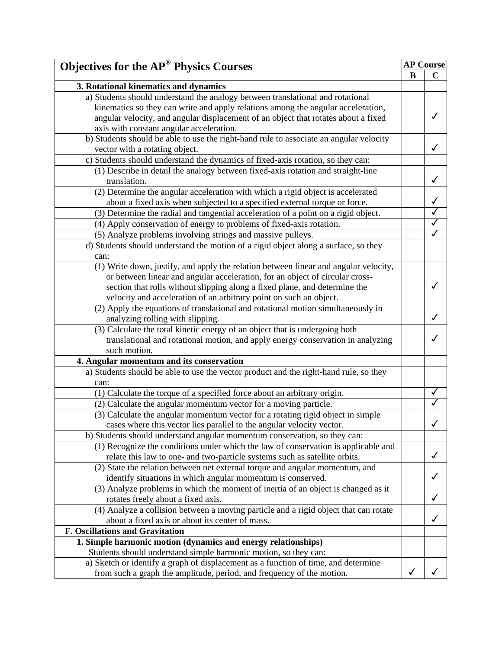| <b>Objectives for the AP<sup>®</sup> Physics Courses</b><br>B<br>3. Rotational kinematics and dynamics<br>a) Students should understand the analogy between translational and rotational<br>kinematics so they can write and apply relations among the angular acceleration,<br>angular velocity, and angular displacement of an object that rotates about a fixed | $\mathbf C$             |
|--------------------------------------------------------------------------------------------------------------------------------------------------------------------------------------------------------------------------------------------------------------------------------------------------------------------------------------------------------------------|-------------------------|
|                                                                                                                                                                                                                                                                                                                                                                    |                         |
|                                                                                                                                                                                                                                                                                                                                                                    |                         |
|                                                                                                                                                                                                                                                                                                                                                                    |                         |
|                                                                                                                                                                                                                                                                                                                                                                    |                         |
|                                                                                                                                                                                                                                                                                                                                                                    |                         |
| axis with constant angular acceleration.                                                                                                                                                                                                                                                                                                                           |                         |
| b) Students should be able to use the right-hand rule to associate an angular velocity                                                                                                                                                                                                                                                                             |                         |
| vector with a rotating object.                                                                                                                                                                                                                                                                                                                                     | ✓                       |
| c) Students should understand the dynamics of fixed-axis rotation, so they can:                                                                                                                                                                                                                                                                                    |                         |
| (1) Describe in detail the analogy between fixed-axis rotation and straight-line                                                                                                                                                                                                                                                                                   |                         |
| translation.                                                                                                                                                                                                                                                                                                                                                       | √                       |
| (2) Determine the angular acceleration with which a rigid object is accelerated                                                                                                                                                                                                                                                                                    |                         |
| about a fixed axis when subjected to a specified external torque or force.                                                                                                                                                                                                                                                                                         | $\checkmark$            |
| (3) Determine the radial and tangential acceleration of a point on a rigid object.                                                                                                                                                                                                                                                                                 | $\checkmark$            |
|                                                                                                                                                                                                                                                                                                                                                                    | $\blacktriangledown$    |
| (4) Apply conservation of energy to problems of fixed-axis rotation.                                                                                                                                                                                                                                                                                               | $\overline{\checkmark}$ |
| (5) Analyze problems involving strings and massive pulleys.                                                                                                                                                                                                                                                                                                        |                         |
| d) Students should understand the motion of a rigid object along a surface, so they                                                                                                                                                                                                                                                                                |                         |
| can:                                                                                                                                                                                                                                                                                                                                                               |                         |
| (1) Write down, justify, and apply the relation between linear and angular velocity,                                                                                                                                                                                                                                                                               |                         |
| or between linear and angular acceleration, for an object of circular cross-                                                                                                                                                                                                                                                                                       |                         |
| section that rolls without slipping along a fixed plane, and determine the                                                                                                                                                                                                                                                                                         |                         |
| velocity and acceleration of an arbitrary point on such an object.                                                                                                                                                                                                                                                                                                 |                         |
| (2) Apply the equations of translational and rotational motion simultaneously in                                                                                                                                                                                                                                                                                   |                         |
| analyzing rolling with slipping.                                                                                                                                                                                                                                                                                                                                   | ✓                       |
| (3) Calculate the total kinetic energy of an object that is undergoing both                                                                                                                                                                                                                                                                                        |                         |
| translational and rotational motion, and apply energy conservation in analyzing                                                                                                                                                                                                                                                                                    |                         |
| such motion.                                                                                                                                                                                                                                                                                                                                                       |                         |
| 4. Angular momentum and its conservation                                                                                                                                                                                                                                                                                                                           |                         |
| a) Students should be able to use the vector product and the right-hand rule, so they                                                                                                                                                                                                                                                                              |                         |
| can:                                                                                                                                                                                                                                                                                                                                                               |                         |
| (1) Calculate the torque of a specified force about an arbitrary origin.                                                                                                                                                                                                                                                                                           | ✓                       |
| (2) Calculate the angular momentum vector for a moving particle.                                                                                                                                                                                                                                                                                                   | ✓                       |
| (3) Calculate the angular momentum vector for a rotating rigid object in simple                                                                                                                                                                                                                                                                                    |                         |
| cases where this vector lies parallel to the angular velocity vector.                                                                                                                                                                                                                                                                                              |                         |
| b) Students should understand angular momentum conservation, so they can:                                                                                                                                                                                                                                                                                          |                         |
| (1) Recognize the conditions under which the law of conservation is applicable and                                                                                                                                                                                                                                                                                 |                         |
| relate this law to one- and two-particle systems such as satellite orbits.                                                                                                                                                                                                                                                                                         |                         |
| (2) State the relation between net external torque and angular momentum, and                                                                                                                                                                                                                                                                                       |                         |
| identify situations in which angular momentum is conserved.                                                                                                                                                                                                                                                                                                        |                         |
| (3) Analyze problems in which the moment of inertia of an object is changed as it                                                                                                                                                                                                                                                                                  |                         |
| rotates freely about a fixed axis.                                                                                                                                                                                                                                                                                                                                 | ✓                       |
| (4) Analyze a collision between a moving particle and a rigid object that can rotate                                                                                                                                                                                                                                                                               |                         |
| about a fixed axis or about its center of mass.                                                                                                                                                                                                                                                                                                                    |                         |
| <b>F. Oscillations and Gravitation</b>                                                                                                                                                                                                                                                                                                                             |                         |
| 1. Simple harmonic motion (dynamics and energy relationships)                                                                                                                                                                                                                                                                                                      |                         |
| Students should understand simple harmonic motion, so they can:                                                                                                                                                                                                                                                                                                    |                         |
| a) Sketch or identify a graph of displacement as a function of time, and determine                                                                                                                                                                                                                                                                                 |                         |
| from such a graph the amplitude, period, and frequency of the motion.<br>✓                                                                                                                                                                                                                                                                                         |                         |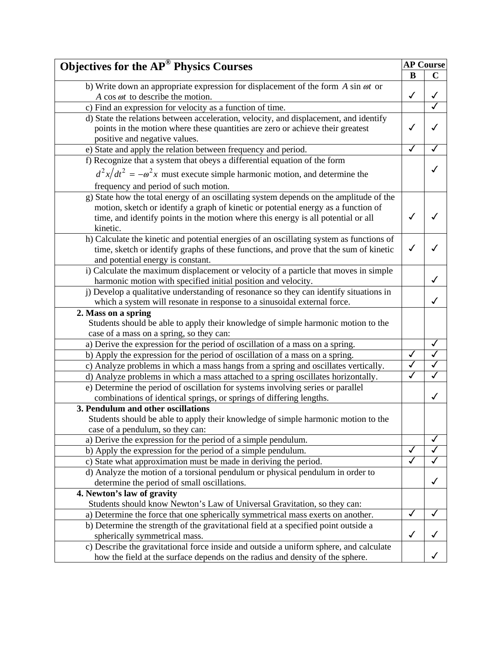| <b>Objectives for the AP® Physics Courses</b>                                             |                         | <b>AP Course</b> |
|-------------------------------------------------------------------------------------------|-------------------------|------------------|
|                                                                                           | B                       | $\mathbf C$      |
| b) Write down an appropriate expression for displacement of the form $A \sin \omega t$ or |                         |                  |
| A cos $\omega t$ to describe the motion.                                                  | $\checkmark$            | ✓                |
| c) Find an expression for velocity as a function of time.                                 |                         |                  |
| d) State the relations between acceleration, velocity, and displacement, and identify     |                         |                  |
| points in the motion where these quantities are zero or achieve their greatest            | ✓                       |                  |
| positive and negative values.                                                             |                         |                  |
| e) State and apply the relation between frequency and period.                             | ✓                       | ✓                |
| f) Recognize that a system that obeys a differential equation of the form                 |                         |                  |
| $d^2x/dt^2 = -\omega^2 x$ must execute simple harmonic motion, and determine the          |                         |                  |
| frequency and period of such motion.                                                      |                         |                  |
| g) State how the total energy of an oscillating system depends on the amplitude of the    |                         |                  |
| motion, sketch or identify a graph of kinetic or potential energy as a function of        |                         |                  |
| time, and identify points in the motion where this energy is all potential or all         |                         |                  |
| kinetic.                                                                                  |                         |                  |
| h) Calculate the kinetic and potential energies of an oscillating system as functions of  |                         |                  |
| time, sketch or identify graphs of these functions, and prove that the sum of kinetic     | ✓                       |                  |
| and potential energy is constant.                                                         |                         |                  |
| i) Calculate the maximum displacement or velocity of a particle that moves in simple      |                         |                  |
| harmonic motion with specified initial position and velocity.                             |                         | ✓                |
| j) Develop a qualitative understanding of resonance so they can identify situations in    |                         |                  |
| which a system will resonate in response to a sinusoidal external force.                  |                         | ✓                |
| 2. Mass on a spring                                                                       |                         |                  |
| Students should be able to apply their knowledge of simple harmonic motion to the         |                         |                  |
| case of a mass on a spring, so they can:                                                  |                         |                  |
| a) Derive the expression for the period of oscillation of a mass on a spring.             |                         | ✓                |
| b) Apply the expression for the period of oscillation of a mass on a spring.              |                         | ✓                |
| c) Analyze problems in which a mass hangs from a spring and oscillates vertically.        | ✓                       | ✓                |
| d) Analyze problems in which a mass attached to a spring oscillates horizontally.         | $\overline{\checkmark}$ |                  |
| e) Determine the period of oscillation for systems involving series or parallel           |                         |                  |
| combinations of identical springs, or springs of differing lengths.                       |                         | ✓                |
| 3. Pendulum and other oscillations                                                        |                         |                  |
| Students should be able to apply their knowledge of simple harmonic motion to the         |                         |                  |
| case of a pendulum, so they can:                                                          |                         |                  |
| a) Derive the expression for the period of a simple pendulum.                             |                         |                  |
| b) Apply the expression for the period of a simple pendulum.                              | ✓                       |                  |
| c) State what approximation must be made in deriving the period.                          |                         |                  |
| d) Analyze the motion of a torsional pendulum or physical pendulum in order to            |                         |                  |
| determine the period of small oscillations.                                               |                         |                  |
| 4. Newton's law of gravity                                                                |                         |                  |
| Students should know Newton's Law of Universal Gravitation, so they can:                  |                         |                  |
| a) Determine the force that one spherically symmetrical mass exerts on another.           |                         |                  |
| b) Determine the strength of the gravitational field at a specified point outside a       |                         |                  |
| spherically symmetrical mass.                                                             | $\checkmark$            |                  |
| c) Describe the gravitational force inside and outside a uniform sphere, and calculate    |                         |                  |
| how the field at the surface depends on the radius and density of the sphere.             |                         |                  |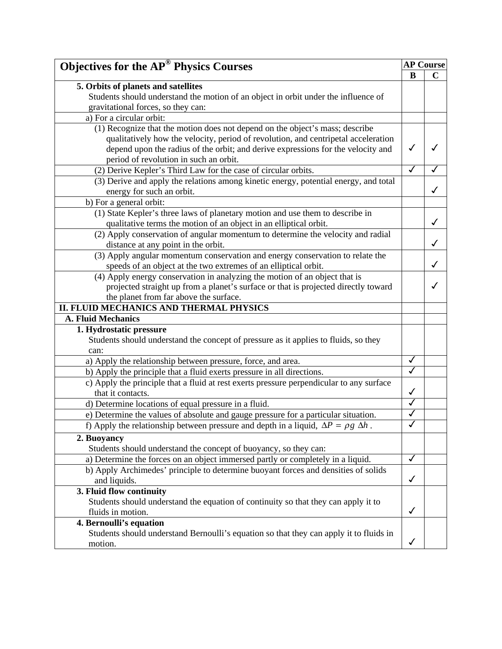| <b>Objectives for the AP<sup>®</sup> Physics Courses</b>                                         |              | <b>AP Course</b> |  |
|--------------------------------------------------------------------------------------------------|--------------|------------------|--|
|                                                                                                  | B            | $\mathbf C$      |  |
| 5. Orbits of planets and satellites                                                              |              |                  |  |
| Students should understand the motion of an object in orbit under the influence of               |              |                  |  |
| gravitational forces, so they can:                                                               |              |                  |  |
| a) For a circular orbit:                                                                         |              |                  |  |
| (1) Recognize that the motion does not depend on the object's mass; describe                     |              |                  |  |
| qualitatively how the velocity, period of revolution, and centripetal acceleration               |              |                  |  |
| depend upon the radius of the orbit; and derive expressions for the velocity and                 | $\checkmark$ |                  |  |
| period of revolution in such an orbit.                                                           |              |                  |  |
| (2) Derive Kepler's Third Law for the case of circular orbits.                                   | $\checkmark$ |                  |  |
| (3) Derive and apply the relations among kinetic energy, potential energy, and total             |              |                  |  |
| energy for such an orbit.                                                                        |              | ✓                |  |
| b) For a general orbit:                                                                          |              |                  |  |
| (1) State Kepler's three laws of planetary motion and use them to describe in                    |              |                  |  |
| qualitative terms the motion of an object in an elliptical orbit.                                |              | ✓                |  |
| (2) Apply conservation of angular momentum to determine the velocity and radial                  |              |                  |  |
| distance at any point in the orbit.                                                              |              |                  |  |
| (3) Apply angular momentum conservation and energy conservation to relate the                    |              |                  |  |
| speeds of an object at the two extremes of an elliptical orbit.                                  |              | ✓                |  |
| (4) Apply energy conservation in analyzing the motion of an object that is                       |              |                  |  |
| projected straight up from a planet's surface or that is projected directly toward               |              |                  |  |
| the planet from far above the surface.                                                           |              |                  |  |
| II. FLUID MECHANICS AND THERMAL PHYSICS                                                          |              |                  |  |
| <b>A. Fluid Mechanics</b>                                                                        |              |                  |  |
| 1. Hydrostatic pressure                                                                          |              |                  |  |
| Students should understand the concept of pressure as it applies to fluids, so they              |              |                  |  |
| can:                                                                                             |              |                  |  |
| a) Apply the relationship between pressure, force, and area.                                     | $\checkmark$ |                  |  |
| b) Apply the principle that a fluid exerts pressure in all directions.                           | ✓            |                  |  |
| c) Apply the principle that a fluid at rest exerts pressure perpendicular to any surface         |              |                  |  |
| that it contacts.                                                                                | $\checkmark$ |                  |  |
| d) Determine locations of equal pressure in a fluid.                                             |              |                  |  |
| e) Determine the values of absolute and gauge pressure for a particular situation.               | ✓            |                  |  |
| f) Apply the relationship between pressure and depth in a liquid, $\Delta P = \rho g \Delta h$ . |              |                  |  |
| 2. Buoyancy                                                                                      |              |                  |  |
| Students should understand the concept of buoyancy, so they can:                                 |              |                  |  |
| a) Determine the forces on an object immersed partly or completely in a liquid.                  | $\checkmark$ |                  |  |
| b) Apply Archimedes' principle to determine buoyant forces and densities of solids               |              |                  |  |
| and liquids.                                                                                     | $\checkmark$ |                  |  |
| 3. Fluid flow continuity                                                                         |              |                  |  |
| Students should understand the equation of continuity so that they can apply it to               |              |                  |  |
| fluids in motion.                                                                                | $\checkmark$ |                  |  |
| 4. Bernoulli's equation                                                                          |              |                  |  |
| Students should understand Bernoulli's equation so that they can apply it to fluids in           |              |                  |  |
| motion.                                                                                          | ✓            |                  |  |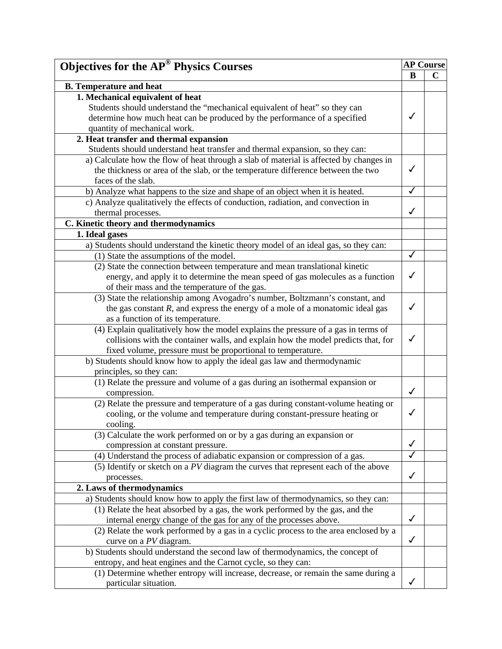| <b>Objectives for the AP<sup>®</sup> Physics Courses</b>                               |              | <b>AP Course</b> |
|----------------------------------------------------------------------------------------|--------------|------------------|
|                                                                                        | B            | $\mathbf C$      |
| <b>B.</b> Temperature and heat                                                         |              |                  |
| 1. Mechanical equivalent of heat                                                       |              |                  |
| Students should understand the "mechanical equivalent of heat" so they can             |              |                  |
| determine how much heat can be produced by the performance of a specified              | $\checkmark$ |                  |
| quantity of mechanical work.                                                           |              |                  |
| 2. Heat transfer and thermal expansion                                                 |              |                  |
| Students should understand heat transfer and thermal expansion, so they can:           |              |                  |
| a) Calculate how the flow of heat through a slab of material is affected by changes in |              |                  |
| the thickness or area of the slab, or the temperature difference between the two       | $\checkmark$ |                  |
| faces of the slab.                                                                     |              |                  |
| b) Analyze what happens to the size and shape of an object when it is heated.          | $\checkmark$ |                  |
| c) Analyze qualitatively the effects of conduction, radiation, and convection in       |              |                  |
| thermal processes.                                                                     | ✓            |                  |
| C. Kinetic theory and thermodynamics                                                   |              |                  |
| 1. Ideal gases                                                                         |              |                  |
| a) Students should understand the kinetic theory model of an ideal gas, so they can:   |              |                  |
| (1) State the assumptions of the model.                                                | $\checkmark$ |                  |
| (2) State the connection between temperature and mean translational kinetic            |              |                  |
| energy, and apply it to determine the mean speed of gas molecules as a function        | $\checkmark$ |                  |
| of their mass and the temperature of the gas.                                          |              |                  |
| (3) State the relationship among Avogadro's number, Boltzmann's constant, and          |              |                  |
| the gas constant $R$ , and express the energy of a mole of a monatomic ideal gas       | ✓            |                  |
| as a function of its temperature.                                                      |              |                  |
| (4) Explain qualitatively how the model explains the pressure of a gas in terms of     |              |                  |
| collisions with the container walls, and explain how the model predicts that, for      | $\checkmark$ |                  |
| fixed volume, pressure must be proportional to temperature.                            |              |                  |
| b) Students should know how to apply the ideal gas law and thermodynamic               |              |                  |
| principles, so they can:                                                               |              |                  |
| (1) Relate the pressure and volume of a gas during an isothermal expansion or          |              |                  |
| compression.                                                                           | $\checkmark$ |                  |
| (2) Relate the pressure and temperature of a gas during constant-volume heating or     |              |                  |
| cooling, or the volume and temperature during constant-pressure heating or             | $\checkmark$ |                  |
| cooling.                                                                               |              |                  |
| (3) Calculate the work performed on or by a gas during an expansion or                 |              |                  |
| compression at constant pressure.                                                      | $\checkmark$ |                  |
| (4) Understand the process of adiabatic expansion or compression of a gas.             | $\checkmark$ |                  |
| (5) Identify or sketch on a PV diagram the curves that represent each of the above     |              |                  |
| processes.                                                                             | $\checkmark$ |                  |
| 2. Laws of thermodynamics                                                              |              |                  |
| a) Students should know how to apply the first law of thermodynamics, so they can:     |              |                  |
| (1) Relate the heat absorbed by a gas, the work performed by the gas, and the          |              |                  |
| internal energy change of the gas for any of the processes above.                      | $\checkmark$ |                  |
| (2) Relate the work performed by a gas in a cyclic process to the area enclosed by a   |              |                  |
| curve on a PV diagram.                                                                 | $\checkmark$ |                  |
| b) Students should understand the second law of thermodynamics, the concept of         |              |                  |
| entropy, and heat engines and the Carnot cycle, so they can:                           |              |                  |
| (1) Determine whether entropy will increase, decrease, or remain the same during a     |              |                  |
| particular situation.                                                                  | $\checkmark$ |                  |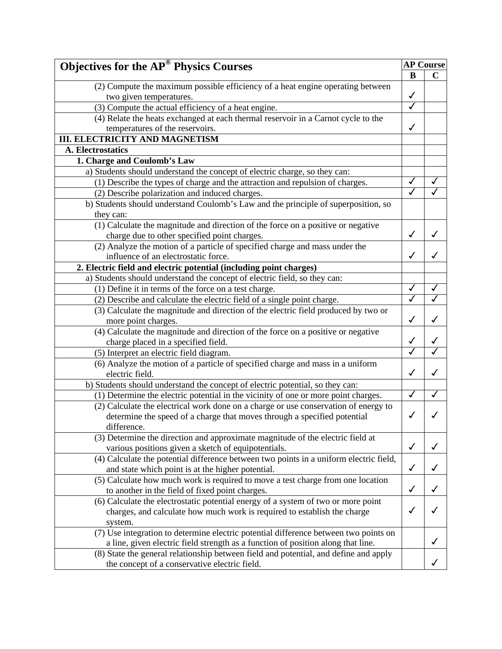| <b>Objectives for the AP® Physics Courses</b>                                          |                         | <b>AP Course</b> |  |
|----------------------------------------------------------------------------------------|-------------------------|------------------|--|
|                                                                                        | B                       | $\mathbf C$      |  |
| (2) Compute the maximum possible efficiency of a heat engine operating between         |                         |                  |  |
| two given temperatures.                                                                | $\checkmark$            |                  |  |
| (3) Compute the actual efficiency of a heat engine.                                    | $\overline{\checkmark}$ |                  |  |
| (4) Relate the heats exchanged at each thermal reservoir in a Carnot cycle to the      |                         |                  |  |
| temperatures of the reservoirs.                                                        | $\checkmark$            |                  |  |
| <b>III. ELECTRICITY AND MAGNETISM</b>                                                  |                         |                  |  |
| <b>A. Electrostatics</b>                                                               |                         |                  |  |
| 1. Charge and Coulomb's Law                                                            |                         |                  |  |
| a) Students should understand the concept of electric charge, so they can:             |                         |                  |  |
| (1) Describe the types of charge and the attraction and repulsion of charges.          |                         |                  |  |
| (2) Describe polarization and induced charges.                                         |                         |                  |  |
| b) Students should understand Coulomb's Law and the principle of superposition, so     |                         |                  |  |
| they can:                                                                              |                         |                  |  |
| (1) Calculate the magnitude and direction of the force on a positive or negative       |                         |                  |  |
|                                                                                        | ✓                       |                  |  |
| charge due to other specified point charges.                                           |                         |                  |  |
| (2) Analyze the motion of a particle of specified charge and mass under the            | ✓                       |                  |  |
| influence of an electrostatic force.                                                   |                         |                  |  |
| 2. Electric field and electric potential (including point charges)                     |                         |                  |  |
| a) Students should understand the concept of electric field, so they can:              |                         |                  |  |
| (1) Define it in terms of the force on a test charge.                                  |                         |                  |  |
| (2) Describe and calculate the electric field of a single point charge.                |                         |                  |  |
| (3) Calculate the magnitude and direction of the electric field produced by two or     |                         |                  |  |
| more point charges.                                                                    | ✓                       |                  |  |
| (4) Calculate the magnitude and direction of the force on a positive or negative       |                         |                  |  |
| charge placed in a specified field.                                                    |                         | ✓                |  |
| (5) Interpret an electric field diagram.                                               |                         |                  |  |
| (6) Analyze the motion of a particle of specified charge and mass in a uniform         |                         |                  |  |
| electric field.                                                                        | ✓                       |                  |  |
| b) Students should understand the concept of electric potential, so they can:          |                         |                  |  |
| (1) Determine the electric potential in the vicinity of one or more point charges.     |                         |                  |  |
| (2) Calculate the electrical work done on a charge or use conservation of energy to    |                         |                  |  |
| determine the speed of a charge that moves through a specified potential               |                         |                  |  |
| difference.                                                                            |                         |                  |  |
| (3) Determine the direction and approximate magnitude of the electric field at         |                         |                  |  |
| various positions given a sketch of equipotentials.                                    | $\checkmark$            |                  |  |
| (4) Calculate the potential difference between two points in a uniform electric field, |                         |                  |  |
| and state which point is at the higher potential.                                      | $\checkmark$            |                  |  |
| (5) Calculate how much work is required to move a test charge from one location        |                         |                  |  |
| to another in the field of fixed point charges.                                        | ✓                       |                  |  |
| (6) Calculate the electrostatic potential energy of a system of two or more point      |                         |                  |  |
| charges, and calculate how much work is required to establish the charge               | √                       |                  |  |
| system.                                                                                |                         |                  |  |
| (7) Use integration to determine electric potential difference between two points on   |                         |                  |  |
| a line, given electric field strength as a function of position along that line.       |                         |                  |  |
| (8) State the general relationship between field and potential, and define and apply   |                         |                  |  |
| the concept of a conservative electric field.                                          |                         |                  |  |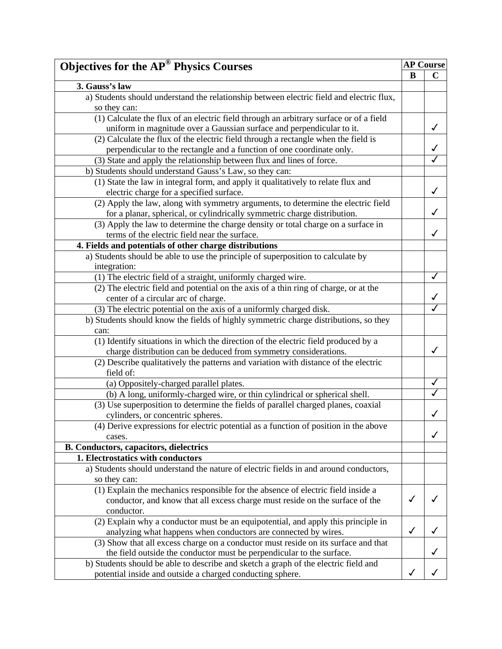| <b>Objectives for the AP<sup>®</sup> Physics Courses</b>                                                                                                      |              | <b>AP Course</b> |
|---------------------------------------------------------------------------------------------------------------------------------------------------------------|--------------|------------------|
|                                                                                                                                                               | B            | $\mathbf C$      |
| 3. Gauss's law                                                                                                                                                |              |                  |
| a) Students should understand the relationship between electric field and electric flux,                                                                      |              |                  |
| so they can:                                                                                                                                                  |              |                  |
| (1) Calculate the flux of an electric field through an arbitrary surface or of a field                                                                        |              |                  |
| uniform in magnitude over a Gaussian surface and perpendicular to it.                                                                                         |              | ✓                |
| (2) Calculate the flux of the electric field through a rectangle when the field is                                                                            |              |                  |
| perpendicular to the rectangle and a function of one coordinate only.                                                                                         |              | √                |
| (3) State and apply the relationship between flux and lines of force.                                                                                         |              |                  |
| b) Students should understand Gauss's Law, so they can:                                                                                                       |              |                  |
| (1) State the law in integral form, and apply it qualitatively to relate flux and                                                                             |              |                  |
|                                                                                                                                                               |              |                  |
| electric charge for a specified surface.                                                                                                                      |              |                  |
| (2) Apply the law, along with symmetry arguments, to determine the electric field<br>for a planar, spherical, or cylindrically symmetric charge distribution. |              |                  |
| (3) Apply the law to determine the charge density or total charge on a surface in                                                                             |              |                  |
| terms of the electric field near the surface.                                                                                                                 |              | ✓                |
| 4. Fields and potentials of other charge distributions                                                                                                        |              |                  |
| a) Students should be able to use the principle of superposition to calculate by                                                                              |              |                  |
| integration:                                                                                                                                                  |              |                  |
|                                                                                                                                                               |              | √                |
| (1) The electric field of a straight, uniformly charged wire.                                                                                                 |              |                  |
| (2) The electric field and potential on the axis of a thin ring of charge, or at the                                                                          |              |                  |
| center of a circular arc of charge.                                                                                                                           |              |                  |
| (3) The electric potential on the axis of a uniformly charged disk.                                                                                           |              |                  |
| b) Students should know the fields of highly symmetric charge distributions, so they                                                                          |              |                  |
| can:                                                                                                                                                          |              |                  |
| (1) Identify situations in which the direction of the electric field produced by a                                                                            |              |                  |
| charge distribution can be deduced from symmetry considerations.                                                                                              |              | ✓                |
| (2) Describe qualitatively the patterns and variation with distance of the electric                                                                           |              |                  |
| field of:                                                                                                                                                     |              |                  |
| (a) Oppositely-charged parallel plates.                                                                                                                       |              | ✓                |
| (b) A long, uniformly-charged wire, or thin cylindrical or spherical shell.                                                                                   |              |                  |
| (3) Use superposition to determine the fields of parallel charged planes, coaxial                                                                             |              |                  |
| cylinders, or concentric spheres.                                                                                                                             |              | ✓                |
| (4) Derive expressions for electric potential as a function of position in the above                                                                          |              |                  |
| cases.                                                                                                                                                        |              | ✓                |
| <b>B. Conductors, capacitors, dielectrics</b>                                                                                                                 |              |                  |
| 1. Electrostatics with conductors                                                                                                                             |              |                  |
| a) Students should understand the nature of electric fields in and around conductors,                                                                         |              |                  |
| so they can:                                                                                                                                                  |              |                  |
| (1) Explain the mechanics responsible for the absence of electric field inside a                                                                              |              |                  |
| conductor, and know that all excess charge must reside on the surface of the                                                                                  | √            |                  |
| conductor.                                                                                                                                                    |              |                  |
| (2) Explain why a conductor must be an equipotential, and apply this principle in                                                                             |              |                  |
| analyzing what happens when conductors are connected by wires.                                                                                                | $\checkmark$ |                  |
| (3) Show that all excess charge on a conductor must reside on its surface and that                                                                            |              |                  |
| the field outside the conductor must be perpendicular to the surface.                                                                                         |              |                  |
| b) Students should be able to describe and sketch a graph of the electric field and                                                                           |              |                  |
| potential inside and outside a charged conducting sphere.                                                                                                     |              |                  |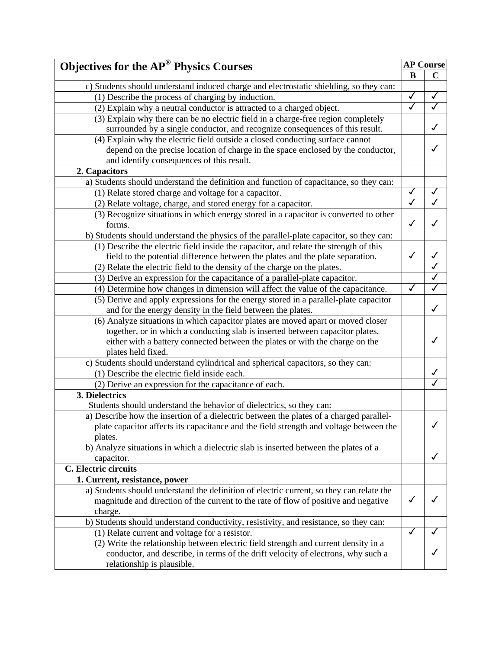| <b>Objectives for the AP<sup>®</sup> Physics Courses</b>                                                                                                                                                                                                                                                                                                                                                                                                                                                                                                                                                                                                                                                                                                                                                                                                                                                                                                                                                                                                                                                                                                                                                                                                                                                                                                                                                                                                                                                                                                                                                                                                                                                                                                                                                                                                                                                                                                                                                                            |                                                   | <b>AP Course</b>                                |
|-------------------------------------------------------------------------------------------------------------------------------------------------------------------------------------------------------------------------------------------------------------------------------------------------------------------------------------------------------------------------------------------------------------------------------------------------------------------------------------------------------------------------------------------------------------------------------------------------------------------------------------------------------------------------------------------------------------------------------------------------------------------------------------------------------------------------------------------------------------------------------------------------------------------------------------------------------------------------------------------------------------------------------------------------------------------------------------------------------------------------------------------------------------------------------------------------------------------------------------------------------------------------------------------------------------------------------------------------------------------------------------------------------------------------------------------------------------------------------------------------------------------------------------------------------------------------------------------------------------------------------------------------------------------------------------------------------------------------------------------------------------------------------------------------------------------------------------------------------------------------------------------------------------------------------------------------------------------------------------------------------------------------------------|---------------------------------------------------|-------------------------------------------------|
|                                                                                                                                                                                                                                                                                                                                                                                                                                                                                                                                                                                                                                                                                                                                                                                                                                                                                                                                                                                                                                                                                                                                                                                                                                                                                                                                                                                                                                                                                                                                                                                                                                                                                                                                                                                                                                                                                                                                                                                                                                     | B                                                 | $\mathbf C$                                     |
| c) Students should understand induced charge and electrostatic shielding, so they can:                                                                                                                                                                                                                                                                                                                                                                                                                                                                                                                                                                                                                                                                                                                                                                                                                                                                                                                                                                                                                                                                                                                                                                                                                                                                                                                                                                                                                                                                                                                                                                                                                                                                                                                                                                                                                                                                                                                                              |                                                   |                                                 |
| (1) Describe the process of charging by induction.                                                                                                                                                                                                                                                                                                                                                                                                                                                                                                                                                                                                                                                                                                                                                                                                                                                                                                                                                                                                                                                                                                                                                                                                                                                                                                                                                                                                                                                                                                                                                                                                                                                                                                                                                                                                                                                                                                                                                                                  | ✓                                                 | ✓                                               |
| (2) Explain why a neutral conductor is attracted to a charged object.                                                                                                                                                                                                                                                                                                                                                                                                                                                                                                                                                                                                                                                                                                                                                                                                                                                                                                                                                                                                                                                                                                                                                                                                                                                                                                                                                                                                                                                                                                                                                                                                                                                                                                                                                                                                                                                                                                                                                               | $\overline{\checkmark}$                           | √                                               |
| (3) Explain why there can be no electric field in a charge-free region completely                                                                                                                                                                                                                                                                                                                                                                                                                                                                                                                                                                                                                                                                                                                                                                                                                                                                                                                                                                                                                                                                                                                                                                                                                                                                                                                                                                                                                                                                                                                                                                                                                                                                                                                                                                                                                                                                                                                                                   |                                                   |                                                 |
| surrounded by a single conductor, and recognize consequences of this result.                                                                                                                                                                                                                                                                                                                                                                                                                                                                                                                                                                                                                                                                                                                                                                                                                                                                                                                                                                                                                                                                                                                                                                                                                                                                                                                                                                                                                                                                                                                                                                                                                                                                                                                                                                                                                                                                                                                                                        |                                                   | ✓                                               |
| (4) Explain why the electric field outside a closed conducting surface cannot                                                                                                                                                                                                                                                                                                                                                                                                                                                                                                                                                                                                                                                                                                                                                                                                                                                                                                                                                                                                                                                                                                                                                                                                                                                                                                                                                                                                                                                                                                                                                                                                                                                                                                                                                                                                                                                                                                                                                       |                                                   |                                                 |
| depend on the precise location of charge in the space enclosed by the conductor,                                                                                                                                                                                                                                                                                                                                                                                                                                                                                                                                                                                                                                                                                                                                                                                                                                                                                                                                                                                                                                                                                                                                                                                                                                                                                                                                                                                                                                                                                                                                                                                                                                                                                                                                                                                                                                                                                                                                                    |                                                   | ✓                                               |
| and identify consequences of this result.                                                                                                                                                                                                                                                                                                                                                                                                                                                                                                                                                                                                                                                                                                                                                                                                                                                                                                                                                                                                                                                                                                                                                                                                                                                                                                                                                                                                                                                                                                                                                                                                                                                                                                                                                                                                                                                                                                                                                                                           |                                                   |                                                 |
| 2. Capacitors                                                                                                                                                                                                                                                                                                                                                                                                                                                                                                                                                                                                                                                                                                                                                                                                                                                                                                                                                                                                                                                                                                                                                                                                                                                                                                                                                                                                                                                                                                                                                                                                                                                                                                                                                                                                                                                                                                                                                                                                                       |                                                   |                                                 |
| a) Students should understand the definition and function of capacitance, so they can:                                                                                                                                                                                                                                                                                                                                                                                                                                                                                                                                                                                                                                                                                                                                                                                                                                                                                                                                                                                                                                                                                                                                                                                                                                                                                                                                                                                                                                                                                                                                                                                                                                                                                                                                                                                                                                                                                                                                              |                                                   |                                                 |
| (1) Relate stored charge and voltage for a capacitor.                                                                                                                                                                                                                                                                                                                                                                                                                                                                                                                                                                                                                                                                                                                                                                                                                                                                                                                                                                                                                                                                                                                                                                                                                                                                                                                                                                                                                                                                                                                                                                                                                                                                                                                                                                                                                                                                                                                                                                               | $\checkmark$                                      | ✓                                               |
| (2) Relate voltage, charge, and stored energy for a capacitor.                                                                                                                                                                                                                                                                                                                                                                                                                                                                                                                                                                                                                                                                                                                                                                                                                                                                                                                                                                                                                                                                                                                                                                                                                                                                                                                                                                                                                                                                                                                                                                                                                                                                                                                                                                                                                                                                                                                                                                      | $\overline{\checkmark}$                           | ✓                                               |
| (3) Recognize situations in which energy stored in a capacitor is converted to other                                                                                                                                                                                                                                                                                                                                                                                                                                                                                                                                                                                                                                                                                                                                                                                                                                                                                                                                                                                                                                                                                                                                                                                                                                                                                                                                                                                                                                                                                                                                                                                                                                                                                                                                                                                                                                                                                                                                                |                                                   |                                                 |
| forms.                                                                                                                                                                                                                                                                                                                                                                                                                                                                                                                                                                                                                                                                                                                                                                                                                                                                                                                                                                                                                                                                                                                                                                                                                                                                                                                                                                                                                                                                                                                                                                                                                                                                                                                                                                                                                                                                                                                                                                                                                              | $\checkmark$                                      | ✓                                               |
| b) Students should understand the physics of the parallel-plate capacitor, so they can:                                                                                                                                                                                                                                                                                                                                                                                                                                                                                                                                                                                                                                                                                                                                                                                                                                                                                                                                                                                                                                                                                                                                                                                                                                                                                                                                                                                                                                                                                                                                                                                                                                                                                                                                                                                                                                                                                                                                             |                                                   |                                                 |
|                                                                                                                                                                                                                                                                                                                                                                                                                                                                                                                                                                                                                                                                                                                                                                                                                                                                                                                                                                                                                                                                                                                                                                                                                                                                                                                                                                                                                                                                                                                                                                                                                                                                                                                                                                                                                                                                                                                                                                                                                                     |                                                   |                                                 |
|                                                                                                                                                                                                                                                                                                                                                                                                                                                                                                                                                                                                                                                                                                                                                                                                                                                                                                                                                                                                                                                                                                                                                                                                                                                                                                                                                                                                                                                                                                                                                                                                                                                                                                                                                                                                                                                                                                                                                                                                                                     |                                                   | ✓                                               |
|                                                                                                                                                                                                                                                                                                                                                                                                                                                                                                                                                                                                                                                                                                                                                                                                                                                                                                                                                                                                                                                                                                                                                                                                                                                                                                                                                                                                                                                                                                                                                                                                                                                                                                                                                                                                                                                                                                                                                                                                                                     |                                                   |                                                 |
|                                                                                                                                                                                                                                                                                                                                                                                                                                                                                                                                                                                                                                                                                                                                                                                                                                                                                                                                                                                                                                                                                                                                                                                                                                                                                                                                                                                                                                                                                                                                                                                                                                                                                                                                                                                                                                                                                                                                                                                                                                     |                                                   |                                                 |
|                                                                                                                                                                                                                                                                                                                                                                                                                                                                                                                                                                                                                                                                                                                                                                                                                                                                                                                                                                                                                                                                                                                                                                                                                                                                                                                                                                                                                                                                                                                                                                                                                                                                                                                                                                                                                                                                                                                                                                                                                                     |                                                   |                                                 |
|                                                                                                                                                                                                                                                                                                                                                                                                                                                                                                                                                                                                                                                                                                                                                                                                                                                                                                                                                                                                                                                                                                                                                                                                                                                                                                                                                                                                                                                                                                                                                                                                                                                                                                                                                                                                                                                                                                                                                                                                                                     |                                                   |                                                 |
|                                                                                                                                                                                                                                                                                                                                                                                                                                                                                                                                                                                                                                                                                                                                                                                                                                                                                                                                                                                                                                                                                                                                                                                                                                                                                                                                                                                                                                                                                                                                                                                                                                                                                                                                                                                                                                                                                                                                                                                                                                     |                                                   |                                                 |
|                                                                                                                                                                                                                                                                                                                                                                                                                                                                                                                                                                                                                                                                                                                                                                                                                                                                                                                                                                                                                                                                                                                                                                                                                                                                                                                                                                                                                                                                                                                                                                                                                                                                                                                                                                                                                                                                                                                                                                                                                                     |                                                   |                                                 |
|                                                                                                                                                                                                                                                                                                                                                                                                                                                                                                                                                                                                                                                                                                                                                                                                                                                                                                                                                                                                                                                                                                                                                                                                                                                                                                                                                                                                                                                                                                                                                                                                                                                                                                                                                                                                                                                                                                                                                                                                                                     |                                                   |                                                 |
|                                                                                                                                                                                                                                                                                                                                                                                                                                                                                                                                                                                                                                                                                                                                                                                                                                                                                                                                                                                                                                                                                                                                                                                                                                                                                                                                                                                                                                                                                                                                                                                                                                                                                                                                                                                                                                                                                                                                                                                                                                     |                                                   |                                                 |
|                                                                                                                                                                                                                                                                                                                                                                                                                                                                                                                                                                                                                                                                                                                                                                                                                                                                                                                                                                                                                                                                                                                                                                                                                                                                                                                                                                                                                                                                                                                                                                                                                                                                                                                                                                                                                                                                                                                                                                                                                                     |                                                   |                                                 |
|                                                                                                                                                                                                                                                                                                                                                                                                                                                                                                                                                                                                                                                                                                                                                                                                                                                                                                                                                                                                                                                                                                                                                                                                                                                                                                                                                                                                                                                                                                                                                                                                                                                                                                                                                                                                                                                                                                                                                                                                                                     |                                                   |                                                 |
|                                                                                                                                                                                                                                                                                                                                                                                                                                                                                                                                                                                                                                                                                                                                                                                                                                                                                                                                                                                                                                                                                                                                                                                                                                                                                                                                                                                                                                                                                                                                                                                                                                                                                                                                                                                                                                                                                                                                                                                                                                     |                                                   |                                                 |
|                                                                                                                                                                                                                                                                                                                                                                                                                                                                                                                                                                                                                                                                                                                                                                                                                                                                                                                                                                                                                                                                                                                                                                                                                                                                                                                                                                                                                                                                                                                                                                                                                                                                                                                                                                                                                                                                                                                                                                                                                                     |                                                   |                                                 |
|                                                                                                                                                                                                                                                                                                                                                                                                                                                                                                                                                                                                                                                                                                                                                                                                                                                                                                                                                                                                                                                                                                                                                                                                                                                                                                                                                                                                                                                                                                                                                                                                                                                                                                                                                                                                                                                                                                                                                                                                                                     |                                                   |                                                 |
|                                                                                                                                                                                                                                                                                                                                                                                                                                                                                                                                                                                                                                                                                                                                                                                                                                                                                                                                                                                                                                                                                                                                                                                                                                                                                                                                                                                                                                                                                                                                                                                                                                                                                                                                                                                                                                                                                                                                                                                                                                     |                                                   |                                                 |
|                                                                                                                                                                                                                                                                                                                                                                                                                                                                                                                                                                                                                                                                                                                                                                                                                                                                                                                                                                                                                                                                                                                                                                                                                                                                                                                                                                                                                                                                                                                                                                                                                                                                                                                                                                                                                                                                                                                                                                                                                                     |                                                   |                                                 |
|                                                                                                                                                                                                                                                                                                                                                                                                                                                                                                                                                                                                                                                                                                                                                                                                                                                                                                                                                                                                                                                                                                                                                                                                                                                                                                                                                                                                                                                                                                                                                                                                                                                                                                                                                                                                                                                                                                                                                                                                                                     |                                                   |                                                 |
|                                                                                                                                                                                                                                                                                                                                                                                                                                                                                                                                                                                                                                                                                                                                                                                                                                                                                                                                                                                                                                                                                                                                                                                                                                                                                                                                                                                                                                                                                                                                                                                                                                                                                                                                                                                                                                                                                                                                                                                                                                     |                                                   |                                                 |
|                                                                                                                                                                                                                                                                                                                                                                                                                                                                                                                                                                                                                                                                                                                                                                                                                                                                                                                                                                                                                                                                                                                                                                                                                                                                                                                                                                                                                                                                                                                                                                                                                                                                                                                                                                                                                                                                                                                                                                                                                                     |                                                   |                                                 |
|                                                                                                                                                                                                                                                                                                                                                                                                                                                                                                                                                                                                                                                                                                                                                                                                                                                                                                                                                                                                                                                                                                                                                                                                                                                                                                                                                                                                                                                                                                                                                                                                                                                                                                                                                                                                                                                                                                                                                                                                                                     |                                                   |                                                 |
|                                                                                                                                                                                                                                                                                                                                                                                                                                                                                                                                                                                                                                                                                                                                                                                                                                                                                                                                                                                                                                                                                                                                                                                                                                                                                                                                                                                                                                                                                                                                                                                                                                                                                                                                                                                                                                                                                                                                                                                                                                     |                                                   |                                                 |
|                                                                                                                                                                                                                                                                                                                                                                                                                                                                                                                                                                                                                                                                                                                                                                                                                                                                                                                                                                                                                                                                                                                                                                                                                                                                                                                                                                                                                                                                                                                                                                                                                                                                                                                                                                                                                                                                                                                                                                                                                                     |                                                   |                                                 |
|                                                                                                                                                                                                                                                                                                                                                                                                                                                                                                                                                                                                                                                                                                                                                                                                                                                                                                                                                                                                                                                                                                                                                                                                                                                                                                                                                                                                                                                                                                                                                                                                                                                                                                                                                                                                                                                                                                                                                                                                                                     |                                                   |                                                 |
|                                                                                                                                                                                                                                                                                                                                                                                                                                                                                                                                                                                                                                                                                                                                                                                                                                                                                                                                                                                                                                                                                                                                                                                                                                                                                                                                                                                                                                                                                                                                                                                                                                                                                                                                                                                                                                                                                                                                                                                                                                     |                                                   |                                                 |
|                                                                                                                                                                                                                                                                                                                                                                                                                                                                                                                                                                                                                                                                                                                                                                                                                                                                                                                                                                                                                                                                                                                                                                                                                                                                                                                                                                                                                                                                                                                                                                                                                                                                                                                                                                                                                                                                                                                                                                                                                                     |                                                   |                                                 |
|                                                                                                                                                                                                                                                                                                                                                                                                                                                                                                                                                                                                                                                                                                                                                                                                                                                                                                                                                                                                                                                                                                                                                                                                                                                                                                                                                                                                                                                                                                                                                                                                                                                                                                                                                                                                                                                                                                                                                                                                                                     |                                                   |                                                 |
|                                                                                                                                                                                                                                                                                                                                                                                                                                                                                                                                                                                                                                                                                                                                                                                                                                                                                                                                                                                                                                                                                                                                                                                                                                                                                                                                                                                                                                                                                                                                                                                                                                                                                                                                                                                                                                                                                                                                                                                                                                     |                                                   |                                                 |
|                                                                                                                                                                                                                                                                                                                                                                                                                                                                                                                                                                                                                                                                                                                                                                                                                                                                                                                                                                                                                                                                                                                                                                                                                                                                                                                                                                                                                                                                                                                                                                                                                                                                                                                                                                                                                                                                                                                                                                                                                                     |                                                   |                                                 |
| relationship is plausible.                                                                                                                                                                                                                                                                                                                                                                                                                                                                                                                                                                                                                                                                                                                                                                                                                                                                                                                                                                                                                                                                                                                                                                                                                                                                                                                                                                                                                                                                                                                                                                                                                                                                                                                                                                                                                                                                                                                                                                                                          |                                                   |                                                 |
| (1) Describe the electric field inside the capacitor, and relate the strength of this<br>field to the potential difference between the plates and the plate separation.<br>(2) Relate the electric field to the density of the charge on the plates.<br>(3) Derive an expression for the capacitance of a parallel-plate capacitor.<br>(4) Determine how changes in dimension will affect the value of the capacitance.<br>(5) Derive and apply expressions for the energy stored in a parallel-plate capacitor<br>and for the energy density in the field between the plates.<br>(6) Analyze situations in which capacitor plates are moved apart or moved closer<br>together, or in which a conducting slab is inserted between capacitor plates,<br>either with a battery connected between the plates or with the charge on the<br>plates held fixed.<br>c) Students should understand cylindrical and spherical capacitors, so they can:<br>(1) Describe the electric field inside each.<br>(2) Derive an expression for the capacitance of each.<br>3. Dielectrics<br>Students should understand the behavior of dielectrics, so they can:<br>a) Describe how the insertion of a dielectric between the plates of a charged parallel-<br>plate capacitor affects its capacitance and the field strength and voltage between the<br>plates.<br>b) Analyze situations in which a dielectric slab is inserted between the plates of a<br>capacitor.<br>C. Electric circuits<br>1. Current, resistance, power<br>a) Students should understand the definition of electric current, so they can relate the<br>magnitude and direction of the current to the rate of flow of positive and negative<br>charge.<br>b) Students should understand conductivity, resistivity, and resistance, so they can:<br>(1) Relate current and voltage for a resistor.<br>(2) Write the relationship between electric field strength and current density in a<br>conductor, and describe, in terms of the drift velocity of electrons, why such a | $\checkmark$<br>$\checkmark$<br>✓<br>$\checkmark$ | ✓<br>✓<br>✓<br>✓<br>✓<br>✓<br>$\checkmark$<br>✓ |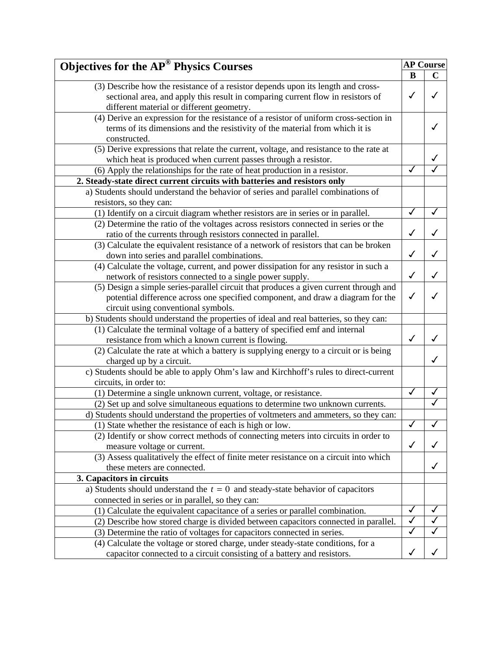| <b>Objectives for the AP® Physics Courses</b>                                          | <b>AP Course</b> |             |
|----------------------------------------------------------------------------------------|------------------|-------------|
|                                                                                        | B                | $\mathbf C$ |
| (3) Describe how the resistance of a resistor depends upon its length and cross-       |                  |             |
| sectional area, and apply this result in comparing current flow in resistors of        | ✓                | ℐ           |
| different material or different geometry.                                              |                  |             |
| (4) Derive an expression for the resistance of a resistor of uniform cross-section in  |                  |             |
| terms of its dimensions and the resistivity of the material from which it is           |                  |             |
| constructed.                                                                           |                  |             |
| (5) Derive expressions that relate the current, voltage, and resistance to the rate at |                  |             |
| which heat is produced when current passes through a resistor.                         |                  |             |
| (6) Apply the relationships for the rate of heat production in a resistor.             | $\checkmark$     |             |
| 2. Steady-state direct current circuits with batteries and resistors only              |                  |             |
| a) Students should understand the behavior of series and parallel combinations of      |                  |             |
| resistors, so they can:                                                                |                  |             |
| (1) Identify on a circuit diagram whether resistors are in series or in parallel.      | ✓                | ✓           |
| (2) Determine the ratio of the voltages across resistors connected in series or the    |                  |             |
| ratio of the currents through resistors connected in parallel.                         | ✓                | ✓           |
| (3) Calculate the equivalent resistance of a network of resistors that can be broken   |                  |             |
| down into series and parallel combinations.                                            | $\checkmark$     |             |
| (4) Calculate the voltage, current, and power dissipation for any resistor in such a   |                  |             |
| network of resistors connected to a single power supply.                               | $\checkmark$     | ✓           |
| (5) Design a simple series-parallel circuit that produces a given current through and  |                  |             |
| potential difference across one specified component, and draw a diagram for the        | ✓                |             |
| circuit using conventional symbols.                                                    |                  |             |
| b) Students should understand the properties of ideal and real batteries, so they can: |                  |             |
| (1) Calculate the terminal voltage of a battery of specified emf and internal          |                  |             |
| resistance from which a known current is flowing.                                      | $\checkmark$     | ✓           |
| (2) Calculate the rate at which a battery is supplying energy to a circuit or is being |                  |             |
| charged up by a circuit.                                                               |                  | ✓           |
| c) Students should be able to apply Ohm's law and Kirchhoff's rules to direct-current  |                  |             |
| circuits, in order to:                                                                 |                  |             |
| (1) Determine a single unknown current, voltage, or resistance.                        | ✓                |             |
| (2) Set up and solve simultaneous equations to determine two unknown currents.         |                  |             |
| d) Students should understand the properties of voltmeters and ammeters, so they can:  |                  |             |
| (1) State whether the resistance of each is high or low.                               |                  |             |
| (2) Identify or show correct methods of connecting meters into circuits in order to    |                  |             |
| measure voltage or current.                                                            | $\checkmark$     |             |
| (3) Assess qualitatively the effect of finite meter resistance on a circuit into which |                  |             |
| these meters are connected.                                                            |                  | ✓           |
| 3. Capacitors in circuits                                                              |                  |             |
| a) Students should understand the $t = 0$ and steady-state behavior of capacitors      |                  |             |
| connected in series or in parallel, so they can:                                       |                  |             |
| (1) Calculate the equivalent capacitance of a series or parallel combination.          | ✓                | ✓           |
| (2) Describe how stored charge is divided between capacitors connected in parallel.    | ✓                |             |
| (3) Determine the ratio of voltages for capacitors connected in series.                | ✓                |             |
| (4) Calculate the voltage or stored charge, under steady-state conditions, for a       |                  |             |
| capacitor connected to a circuit consisting of a battery and resistors.                | ✓                |             |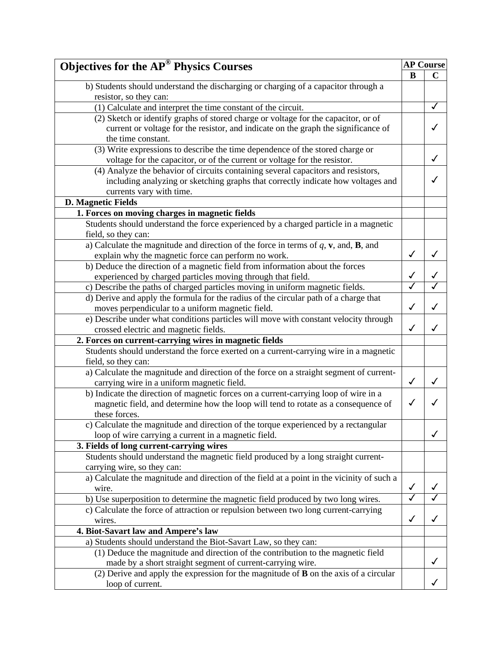| <b>Objectives for the AP<sup>®</sup> Physics Courses</b>                                     |              | <b>AP Course</b> |
|----------------------------------------------------------------------------------------------|--------------|------------------|
|                                                                                              | B            | $\mathbf C$      |
| b) Students should understand the discharging or charging of a capacitor through a           |              |                  |
| resistor, so they can:                                                                       |              |                  |
| (1) Calculate and interpret the time constant of the circuit.                                |              | ✓                |
| (2) Sketch or identify graphs of stored charge or voltage for the capacitor, or of           |              |                  |
| current or voltage for the resistor, and indicate on the graph the significance of           |              |                  |
| the time constant.                                                                           |              |                  |
| (3) Write expressions to describe the time dependence of the stored charge or                |              |                  |
| voltage for the capacitor, or of the current or voltage for the resistor.                    |              | ✓                |
| (4) Analyze the behavior of circuits containing several capacitors and resistors,            |              |                  |
| including analyzing or sketching graphs that correctly indicate how voltages and             |              |                  |
| currents vary with time.                                                                     |              |                  |
| <b>D. Magnetic Fields</b>                                                                    |              |                  |
| 1. Forces on moving charges in magnetic fields                                               |              |                  |
| Students should understand the force experienced by a charged particle in a magnetic         |              |                  |
| field, so they can:                                                                          |              |                  |
| a) Calculate the magnitude and direction of the force in terms of $q$ , $v$ , and, $B$ , and |              |                  |
| explain why the magnetic force can perform no work.                                          | $\checkmark$ |                  |
| b) Deduce the direction of a magnetic field from information about the forces                |              |                  |
| experienced by charged particles moving through that field.                                  |              |                  |
| c) Describe the paths of charged particles moving in uniform magnetic fields.                |              |                  |
| d) Derive and apply the formula for the radius of the circular path of a charge that         |              |                  |
| moves perpendicular to a uniform magnetic field.                                             | ✓            |                  |
| e) Describe under what conditions particles will move with constant velocity through         |              |                  |
| crossed electric and magnetic fields.                                                        | $\checkmark$ |                  |
| 2. Forces on current-carrying wires in magnetic fields                                       |              |                  |
| Students should understand the force exerted on a current-carrying wire in a magnetic        |              |                  |
| field, so they can:                                                                          |              |                  |
| a) Calculate the magnitude and direction of the force on a straight segment of current-      |              |                  |
| carrying wire in a uniform magnetic field.                                                   | $\checkmark$ | ✓                |
| b) Indicate the direction of magnetic forces on a current-carrying loop of wire in a         |              |                  |
| magnetic field, and determine how the loop will tend to rotate as a consequence of           | ✓            |                  |
| these forces.                                                                                |              |                  |
| c) Calculate the magnitude and direction of the torque experienced by a rectangular          |              |                  |
| loop of wire carrying a current in a magnetic field.                                         |              | ✓                |
| 3. Fields of long current-carrying wires                                                     |              |                  |
| Students should understand the magnetic field produced by a long straight current-           |              |                  |
| carrying wire, so they can:                                                                  |              |                  |
| a) Calculate the magnitude and direction of the field at a point in the vicinity of such a   |              |                  |
| wire.                                                                                        | $\checkmark$ |                  |
| b) Use superposition to determine the magnetic field produced by two long wires.             | ✓            |                  |
| c) Calculate the force of attraction or repulsion between two long current-carrying          |              |                  |
| wires.                                                                                       | $\checkmark$ | ✓                |
| 4. Biot-Savart law and Ampere's law                                                          |              |                  |
| a) Students should understand the Biot-Savart Law, so they can:                              |              |                  |
| (1) Deduce the magnitude and direction of the contribution to the magnetic field             |              |                  |
| made by a short straight segment of current-carrying wire.                                   |              |                  |
| (2) Derive and apply the expression for the magnitude of $\bf{B}$ on the axis of a circular  |              |                  |
| loop of current.                                                                             |              |                  |
|                                                                                              |              |                  |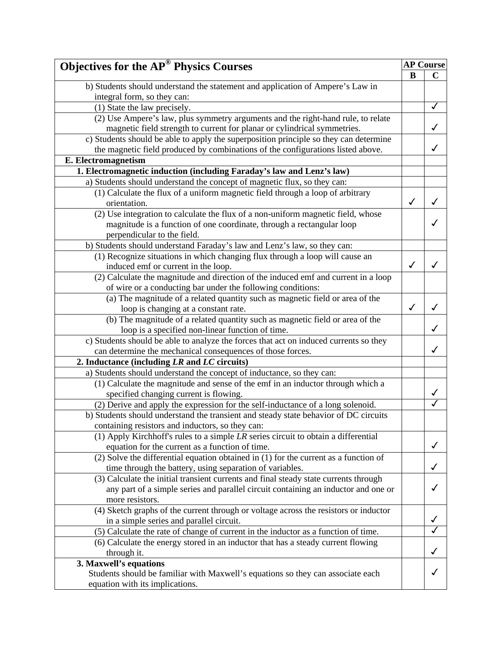| <b>Objectives for the AP<sup>®</sup> Physics Courses</b>                                 |              | <b>AP Course</b> |
|------------------------------------------------------------------------------------------|--------------|------------------|
|                                                                                          | B            | $\mathbf C$      |
| b) Students should understand the statement and application of Ampere's Law in           |              |                  |
| integral form, so they can:                                                              |              |                  |
| (1) State the law precisely.                                                             |              | ✓                |
| (2) Use Ampere's law, plus symmetry arguments and the right-hand rule, to relate         |              |                  |
| magnetic field strength to current for planar or cylindrical symmetries.                 |              | ✓                |
| c) Students should be able to apply the superposition principle so they can determine    |              |                  |
| the magnetic field produced by combinations of the configurations listed above.          |              | ✓                |
| E. Electromagnetism                                                                      |              |                  |
| 1. Electromagnetic induction (including Faraday's law and Lenz's law)                    |              |                  |
| a) Students should understand the concept of magnetic flux, so they can:                 |              |                  |
| (1) Calculate the flux of a uniform magnetic field through a loop of arbitrary           |              |                  |
| orientation.                                                                             | ✓            |                  |
| (2) Use integration to calculate the flux of a non-uniform magnetic field, whose         |              |                  |
| magnitude is a function of one coordinate, through a rectangular loop                    |              |                  |
| perpendicular to the field.                                                              |              |                  |
| b) Students should understand Faraday's law and Lenz's law, so they can:                 |              |                  |
| (1) Recognize situations in which changing flux through a loop will cause an             |              |                  |
| induced emf or current in the loop.                                                      | $\checkmark$ | J                |
| (2) Calculate the magnitude and direction of the induced emf and current in a loop       |              |                  |
| of wire or a conducting bar under the following conditions:                              |              |                  |
| (a) The magnitude of a related quantity such as magnetic field or area of the            |              |                  |
| loop is changing at a constant rate.                                                     | $\checkmark$ | ✓                |
| (b) The magnitude of a related quantity such as magnetic field or area of the            |              |                  |
| loop is a specified non-linear function of time.                                         |              |                  |
| c) Students should be able to analyze the forces that act on induced currents so they    |              |                  |
| can determine the mechanical consequences of those forces.                               |              |                  |
| 2. Inductance (including $LR$ and $LC$ circuits)                                         |              |                  |
| a) Students should understand the concept of inductance, so they can:                    |              |                  |
| (1) Calculate the magnitude and sense of the emf in an inductor through which a          |              |                  |
| specified changing current is flowing.                                                   |              | ✓                |
| (2) Derive and apply the expression for the self-inductance of a long solenoid.          |              |                  |
| b) Students should understand the transient and steady state behavior of DC circuits     |              |                  |
| containing resistors and inductors, so they can:                                         |              |                  |
| (1) Apply Kirchhoff's rules to a simple $LR$ series circuit to obtain a differential     |              |                  |
| equation for the current as a function of time.                                          |              | ✓                |
| $(2)$ Solve the differential equation obtained in $(1)$ for the current as a function of |              |                  |
| time through the battery, using separation of variables.                                 |              | ✓                |
| (3) Calculate the initial transient currents and final steady state currents through     |              |                  |
| any part of a simple series and parallel circuit containing an inductor and one or       |              | ✓                |
| more resistors.                                                                          |              |                  |
| (4) Sketch graphs of the current through or voltage across the resistors or inductor     |              |                  |
| in a simple series and parallel circuit.                                                 |              |                  |
| (5) Calculate the rate of change of current in the inductor as a function of time.       |              |                  |
| (6) Calculate the energy stored in an inductor that has a steady current flowing         |              |                  |
| through it.                                                                              |              | √                |
| 3. Maxwell's equations                                                                   |              |                  |
| Students should be familiar with Maxwell's equations so they can associate each          |              |                  |
| equation with its implications.                                                          |              |                  |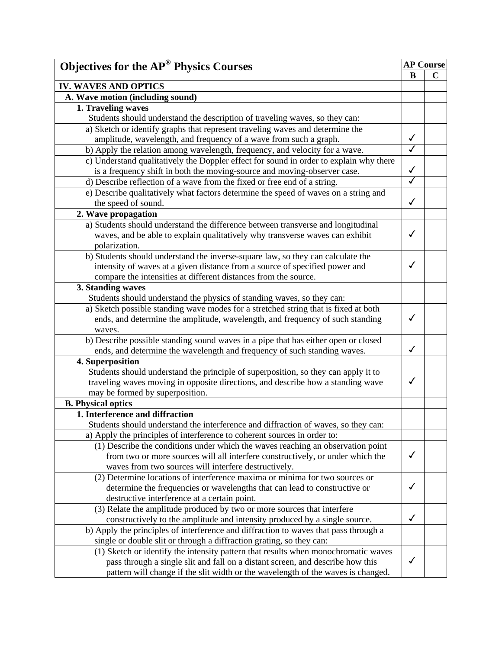| <b>Objectives for the AP<sup>®</sup> Physics Courses</b>                               | <b>AP Course</b>        |             |
|----------------------------------------------------------------------------------------|-------------------------|-------------|
|                                                                                        | B                       | $\mathbf C$ |
| <b>IV. WAVES AND OPTICS</b>                                                            |                         |             |
| A. Wave motion (including sound)                                                       |                         |             |
| 1. Traveling waves                                                                     |                         |             |
| Students should understand the description of traveling waves, so they can:            |                         |             |
| a) Sketch or identify graphs that represent traveling waves and determine the          |                         |             |
| amplitude, wavelength, and frequency of a wave from such a graph.                      | $\checkmark$            |             |
| b) Apply the relation among wavelength, frequency, and velocity for a wave.            | $\overline{\checkmark}$ |             |
| c) Understand qualitatively the Doppler effect for sound in order to explain why there |                         |             |
| is a frequency shift in both the moving-source and moving-observer case.               | $\checkmark$            |             |
| d) Describe reflection of a wave from the fixed or free end of a string.               | $\overline{\checkmark}$ |             |
| e) Describe qualitatively what factors determine the speed of waves on a string and    |                         |             |
| the speed of sound.                                                                    | ✓                       |             |
| 2. Wave propagation                                                                    |                         |             |
| a) Students should understand the difference between transverse and longitudinal       |                         |             |
| waves, and be able to explain qualitatively why transverse waves can exhibit           | $\checkmark$            |             |
| polarization.                                                                          |                         |             |
| b) Students should understand the inverse-square law, so they can calculate the        |                         |             |
| intensity of waves at a given distance from a source of specified power and            | ✓                       |             |
|                                                                                        |                         |             |
| compare the intensities at different distances from the source.                        |                         |             |
| 3. Standing waves                                                                      |                         |             |
| Students should understand the physics of standing waves, so they can:                 |                         |             |
| a) Sketch possible standing wave modes for a stretched string that is fixed at both    | $\checkmark$            |             |
| ends, and determine the amplitude, wavelength, and frequency of such standing          |                         |             |
| waves.                                                                                 |                         |             |
| b) Describe possible standing sound waves in a pipe that has either open or closed     | ✓                       |             |
| ends, and determine the wavelength and frequency of such standing waves.               |                         |             |
| 4. Superposition                                                                       |                         |             |
| Students should understand the principle of superposition, so they can apply it to     | $\checkmark$            |             |
| traveling waves moving in opposite directions, and describe how a standing wave        |                         |             |
| may be formed by superposition.                                                        |                         |             |
| <b>B.</b> Physical optics                                                              |                         |             |
| 1. Interference and diffraction                                                        |                         |             |
| Students should understand the interference and diffraction of waves, so they can:     |                         |             |
| a) Apply the principles of interference to coherent sources in order to:               |                         |             |
| (1) Describe the conditions under which the waves reaching an observation point        |                         |             |
| from two or more sources will all interfere constructively, or under which the         | $\checkmark$            |             |
| waves from two sources will interfere destructively.                                   |                         |             |
| (2) Determine locations of interference maxima or minima for two sources or            |                         |             |
| determine the frequencies or wavelengths that can lead to constructive or              | $\checkmark$            |             |
| destructive interference at a certain point.                                           |                         |             |
| (3) Relate the amplitude produced by two or more sources that interfere                |                         |             |
| constructively to the amplitude and intensity produced by a single source.             | $\checkmark$            |             |
| b) Apply the principles of interference and diffraction to waves that pass through a   |                         |             |
| single or double slit or through a diffraction grating, so they can:                   |                         |             |
| (1) Sketch or identify the intensity pattern that results when monochromatic waves     |                         |             |
| pass through a single slit and fall on a distant screen, and describe how this         | √                       |             |
| pattern will change if the slit width or the wavelength of the waves is changed.       |                         |             |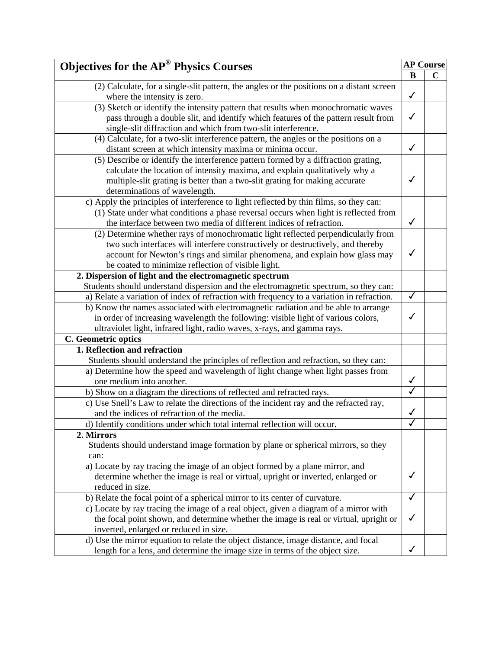| <b>Objectives for the AP<sup>®</sup> Physics Courses</b>                                  |              | <b>AP Course</b> |  |
|-------------------------------------------------------------------------------------------|--------------|------------------|--|
|                                                                                           | B            | $\mathbf C$      |  |
| (2) Calculate, for a single-slit pattern, the angles or the positions on a distant screen |              |                  |  |
| where the intensity is zero.                                                              | $\checkmark$ |                  |  |
| (3) Sketch or identify the intensity pattern that results when monochromatic waves        |              |                  |  |
| pass through a double slit, and identify which features of the pattern result from        | $\checkmark$ |                  |  |
| single-slit diffraction and which from two-slit interference.                             |              |                  |  |
| (4) Calculate, for a two-slit interference pattern, the angles or the positions on a      |              |                  |  |
| distant screen at which intensity maxima or minima occur.                                 | $\checkmark$ |                  |  |
| (5) Describe or identify the interference pattern formed by a diffraction grating,        |              |                  |  |
| calculate the location of intensity maxima, and explain qualitatively why a               |              |                  |  |
| multiple-slit grating is better than a two-slit grating for making accurate               | ✓            |                  |  |
| determinations of wavelength.                                                             |              |                  |  |
| c) Apply the principles of interference to light reflected by thin films, so they can:    |              |                  |  |
| (1) State under what conditions a phase reversal occurs when light is reflected from      |              |                  |  |
| the interface between two media of different indices of refraction.                       | $\checkmark$ |                  |  |
| (2) Determine whether rays of monochromatic light reflected perpendicularly from          |              |                  |  |
| two such interfaces will interfere constructively or destructively, and thereby           |              |                  |  |
| account for Newton's rings and similar phenomena, and explain how glass may               | $\checkmark$ |                  |  |
| be coated to minimize reflection of visible light.                                        |              |                  |  |
| 2. Dispersion of light and the electromagnetic spectrum                                   |              |                  |  |
| Students should understand dispersion and the electromagnetic spectrum, so they can:      |              |                  |  |
| a) Relate a variation of index of refraction with frequency to a variation in refraction. | $\checkmark$ |                  |  |
| b) Know the names associated with electromagnetic radiation and be able to arrange        |              |                  |  |
| in order of increasing wavelength the following: visible light of various colors,         | √            |                  |  |
| ultraviolet light, infrared light, radio waves, x-rays, and gamma rays.                   |              |                  |  |
| C. Geometric optics                                                                       |              |                  |  |
| 1. Reflection and refraction                                                              |              |                  |  |
| Students should understand the principles of reflection and refraction, so they can:      |              |                  |  |
| a) Determine how the speed and wavelength of light change when light passes from          |              |                  |  |
| one medium into another.                                                                  | $\checkmark$ |                  |  |
| b) Show on a diagram the directions of reflected and refracted rays.                      |              |                  |  |
| c) Use Snell's Law to relate the directions of the incident ray and the refracted ray,    |              |                  |  |
| and the indices of refraction of the media.                                               | √            |                  |  |
| d) Identify conditions under which total internal reflection will occur.                  |              |                  |  |
| 2. Mirrors                                                                                |              |                  |  |
| Students should understand image formation by plane or spherical mirrors, so they         |              |                  |  |
| can:                                                                                      |              |                  |  |
| a) Locate by ray tracing the image of an object formed by a plane mirror, and             |              |                  |  |
| determine whether the image is real or virtual, upright or inverted, enlarged or          | $\checkmark$ |                  |  |
| reduced in size.                                                                          |              |                  |  |
| b) Relate the focal point of a spherical mirror to its center of curvature.               | ✓            |                  |  |
| c) Locate by ray tracing the image of a real object, given a diagram of a mirror with     |              |                  |  |
| the focal point shown, and determine whether the image is real or virtual, upright or     | $\checkmark$ |                  |  |
| inverted, enlarged or reduced in size.                                                    |              |                  |  |
| d) Use the mirror equation to relate the object distance, image distance, and focal       |              |                  |  |
| length for a lens, and determine the image size in terms of the object size.              | ✓            |                  |  |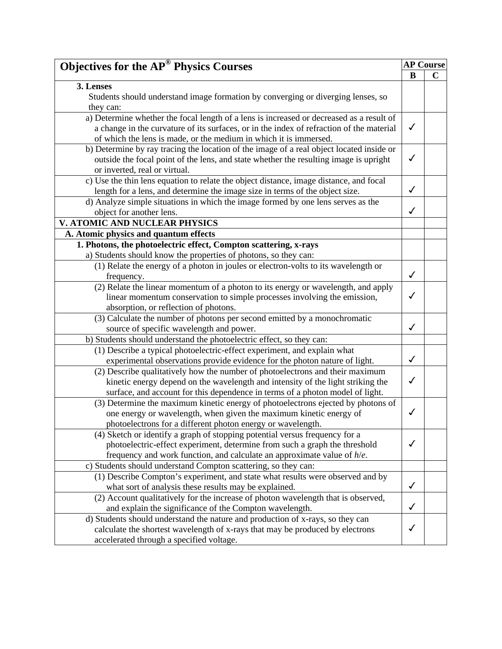| <b>Objectives for the AP<sup>®</sup> Physics Courses</b>                                 | <b>AP Course</b> |             |
|------------------------------------------------------------------------------------------|------------------|-------------|
|                                                                                          | B                | $\mathbf C$ |
| 3. Lenses                                                                                |                  |             |
| Students should understand image formation by converging or diverging lenses, so         |                  |             |
| they can:                                                                                |                  |             |
| a) Determine whether the focal length of a lens is increased or decreased as a result of |                  |             |
| a change in the curvature of its surfaces, or in the index of refraction of the material | $\checkmark$     |             |
| of which the lens is made, or the medium in which it is immersed.                        |                  |             |
| b) Determine by ray tracing the location of the image of a real object located inside or |                  |             |
| outside the focal point of the lens, and state whether the resulting image is upright    | $\checkmark$     |             |
| or inverted, real or virtual.                                                            |                  |             |
| c) Use the thin lens equation to relate the object distance, image distance, and focal   |                  |             |
| length for a lens, and determine the image size in terms of the object size.             | $\checkmark$     |             |
| d) Analyze simple situations in which the image formed by one lens serves as the         |                  |             |
| object for another lens.                                                                 | ✓                |             |
| V. ATOMIC AND NUCLEAR PHYSICS                                                            |                  |             |
| A. Atomic physics and quantum effects                                                    |                  |             |
| 1. Photons, the photoelectric effect, Compton scattering, x-rays                         |                  |             |
| a) Students should know the properties of photons, so they can:                          |                  |             |
| (1) Relate the energy of a photon in joules or electron-volts to its wavelength or       |                  |             |
| frequency.                                                                               | $\checkmark$     |             |
| (2) Relate the linear momentum of a photon to its energy or wavelength, and apply        |                  |             |
| linear momentum conservation to simple processes involving the emission,                 | $\checkmark$     |             |
| absorption, or reflection of photons.                                                    |                  |             |
| (3) Calculate the number of photons per second emitted by a monochromatic                |                  |             |
| source of specific wavelength and power.                                                 | ✓                |             |
| b) Students should understand the photoelectric effect, so they can:                     |                  |             |
| (1) Describe a typical photoelectric-effect experiment, and explain what                 |                  |             |
| experimental observations provide evidence for the photon nature of light.               | $\checkmark$     |             |
| (2) Describe qualitatively how the number of photoelectrons and their maximum            |                  |             |
| kinetic energy depend on the wavelength and intensity of the light striking the          | $\checkmark$     |             |
| surface, and account for this dependence in terms of a photon model of light.            |                  |             |
| (3) Determine the maximum kinetic energy of photoelectrons ejected by photons of         |                  |             |
| one energy or wavelength, when given the maximum kinetic energy of                       | $\checkmark$     |             |
| photoelectrons for a different photon energy or wavelength.                              |                  |             |
| (4) Sketch or identify a graph of stopping potential versus frequency for a              |                  |             |
| photoelectric-effect experiment, determine from such a graph the threshold               | $\checkmark$     |             |
| frequency and work function, and calculate an approximate value of $h/e$ .               |                  |             |
| c) Students should understand Compton scattering, so they can:                           |                  |             |
| (1) Describe Compton's experiment, and state what results were observed and by           |                  |             |
| what sort of analysis these results may be explained.                                    | $\checkmark$     |             |
| (2) Account qualitatively for the increase of photon wavelength that is observed,        |                  |             |
| and explain the significance of the Compton wavelength.                                  | $\checkmark$     |             |
| d) Students should understand the nature and production of x-rays, so they can           |                  |             |
| calculate the shortest wavelength of x-rays that may be produced by electrons            | ✓                |             |
| accelerated through a specified voltage.                                                 |                  |             |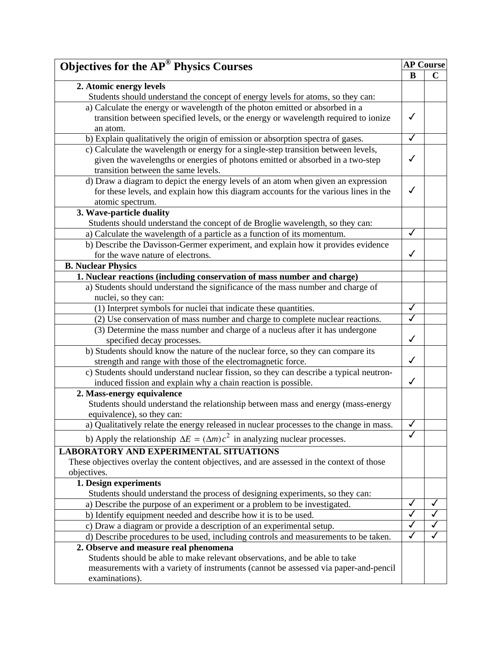| <b>Objectives for the AP<sup>®</sup> Physics Courses</b>                                                                                                                            |              | <b>AP Course</b> |
|-------------------------------------------------------------------------------------------------------------------------------------------------------------------------------------|--------------|------------------|
|                                                                                                                                                                                     | B            | $\mathbf C$      |
| 2. Atomic energy levels                                                                                                                                                             |              |                  |
| Students should understand the concept of energy levels for atoms, so they can:                                                                                                     |              |                  |
| a) Calculate the energy or wavelength of the photon emitted or absorbed in a                                                                                                        |              |                  |
| transition between specified levels, or the energy or wavelength required to ionize<br>an atom.                                                                                     | ✓            |                  |
| b) Explain qualitatively the origin of emission or absorption spectra of gases.                                                                                                     | ✓            |                  |
| c) Calculate the wavelength or energy for a single-step transition between levels,                                                                                                  |              |                  |
| given the wavelengths or energies of photons emitted or absorbed in a two-step<br>transition between the same levels.                                                               | ✓            |                  |
| d) Draw a diagram to depict the energy levels of an atom when given an expression                                                                                                   |              |                  |
| for these levels, and explain how this diagram accounts for the various lines in the                                                                                                | ✓            |                  |
| atomic spectrum.                                                                                                                                                                    |              |                  |
| 3. Wave-particle duality                                                                                                                                                            |              |                  |
| Students should understand the concept of de Broglie wavelength, so they can:                                                                                                       |              |                  |
| a) Calculate the wavelength of a particle as a function of its momentum.                                                                                                            | ✓            |                  |
| b) Describe the Davisson-Germer experiment, and explain how it provides evidence                                                                                                    |              |                  |
| for the wave nature of electrons.                                                                                                                                                   | ✓            |                  |
| <b>B. Nuclear Physics</b>                                                                                                                                                           |              |                  |
| 1. Nuclear reactions (including conservation of mass number and charge)                                                                                                             |              |                  |
| a) Students should understand the significance of the mass number and charge of                                                                                                     |              |                  |
| nuclei, so they can:                                                                                                                                                                |              |                  |
| (1) Interpret symbols for nuclei that indicate these quantities.                                                                                                                    | ✓            |                  |
| (2) Use conservation of mass number and charge to complete nuclear reactions.                                                                                                       |              |                  |
| (3) Determine the mass number and charge of a nucleus after it has undergone<br>specified decay processes.                                                                          | $\checkmark$ |                  |
| b) Students should know the nature of the nuclear force, so they can compare its                                                                                                    |              |                  |
| strength and range with those of the electromagnetic force.                                                                                                                         | $\checkmark$ |                  |
| c) Students should understand nuclear fission, so they can describe a typical neutron-<br>induced fission and explain why a chain reaction is possible.                             | $\checkmark$ |                  |
| 2. Mass-energy equivalence                                                                                                                                                          |              |                  |
| Students should understand the relationship between mass and energy (mass-energy<br>equivalence), so they can:                                                                      |              |                  |
| a) Qualitatively relate the energy released in nuclear processes to the change in mass.                                                                                             | ✓            |                  |
| b) Apply the relationship $\Delta E = (\Delta m)c^2$ in analyzing nuclear processes.                                                                                                |              |                  |
| <b>LABORATORY AND EXPERIMENTAL SITUATIONS</b>                                                                                                                                       |              |                  |
|                                                                                                                                                                                     |              |                  |
| These objectives overlay the content objectives, and are assessed in the context of those                                                                                           |              |                  |
| objectives.<br>1. Design experiments                                                                                                                                                |              |                  |
|                                                                                                                                                                                     |              |                  |
| Students should understand the process of designing experiments, so they can:<br>a) Describe the purpose of an experiment or a problem to be investigated.                          |              | $\checkmark$     |
|                                                                                                                                                                                     |              |                  |
| b) Identify equipment needed and describe how it is to be used.                                                                                                                     |              |                  |
| c) Draw a diagram or provide a description of an experimental setup.                                                                                                                |              |                  |
| d) Describe procedures to be used, including controls and measurements to be taken.                                                                                                 |              |                  |
| 2. Observe and measure real phenomena                                                                                                                                               |              |                  |
| Students should be able to make relevant observations, and be able to take<br>measurements with a variety of instruments (cannot be assessed via paper-and-pencil<br>examinations). |              |                  |